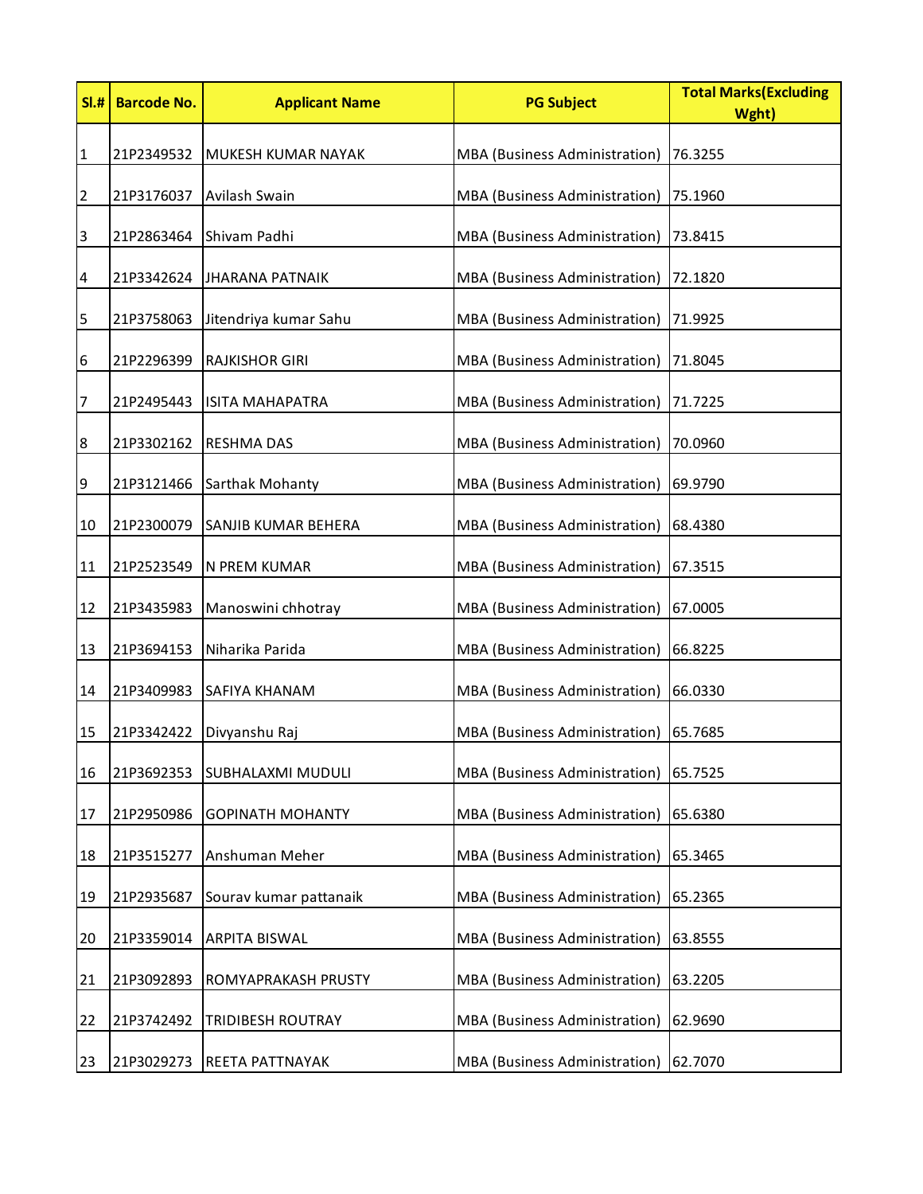| SI.#             | <b>Barcode No.</b> | <b>Applicant Name</b>     | <b>PG Subject</b>             | <b>Total Marks (Excluding</b><br>Wght) |
|------------------|--------------------|---------------------------|-------------------------------|----------------------------------------|
| $\mathbf{1}$     | 21P2349532         | <b>MUKESH KUMAR NAYAK</b> | MBA (Business Administration) | 76.3255                                |
| $\overline{2}$   | 21P3176037         | Avilash Swain             | MBA (Business Administration) | 75.1960                                |
| $\overline{3}$   | 21P2863464         | Shivam Padhi              | MBA (Business Administration) | 73.8415                                |
| 4                | 21P3342624         | JHARANA PATNAIK           | MBA (Business Administration) | 72.1820                                |
| 5                | 21P3758063         | Jitendriya kumar Sahu     | MBA (Business Administration) | 71.9925                                |
| $\boldsymbol{6}$ | 21P2296399         | <b>RAJKISHOR GIRI</b>     | MBA (Business Administration) | 71.8045                                |
| 7                | 21P2495443         | <b>ISITA MAHAPATRA</b>    | MBA (Business Administration) | 71.7225                                |
| 8                | 21P3302162         | <b>RESHMA DAS</b>         | MBA (Business Administration) | 70.0960                                |
| 9                | 21P3121466         | Sarthak Mohanty           | MBA (Business Administration) | 69.9790                                |
| 10               | 21P2300079         | SANJIB KUMAR BEHERA       | MBA (Business Administration) | 68.4380                                |
| 11               | 21P2523549         | N PREM KUMAR              | MBA (Business Administration) | 67.3515                                |
| 12               | 21P3435983         | Manoswini chhotray        | MBA (Business Administration) | 67.0005                                |
| 13               | 21P3694153         | Niharika Parida           | MBA (Business Administration) | 66.8225                                |
| 14               | 21P3409983         | <b>SAFIYA KHANAM</b>      | MBA (Business Administration) | 66.0330                                |
| 15               | 21P3342422         | Divyanshu Raj             | MBA (Business Administration) | 65.7685                                |
| 16               | 21P3692353         | SUBHALAXMI MUDULI         | MBA (Business Administration) | 65.7525                                |
| 17               | 21P2950986         | <b>GOPINATH MOHANTY</b>   | MBA (Business Administration) | 65.6380                                |
| 18               | 21P3515277         | Anshuman Meher            | MBA (Business Administration) | 65.3465                                |
| 19               | 21P2935687         | Sourav kumar pattanaik    | MBA (Business Administration) | 65.2365                                |
| 20               | 21P3359014         | <b>ARPITA BISWAL</b>      | MBA (Business Administration) | 63.8555                                |
| 21               | 21P3092893         | ROMYAPRAKASH PRUSTY       | MBA (Business Administration) | 63.2205                                |
| 22               | 21P3742492         | TRIDIBESH ROUTRAY         | MBA (Business Administration) | 62.9690                                |
| 23               | 21P3029273         | REETA PATTNAYAK           | MBA (Business Administration) | 62.7070                                |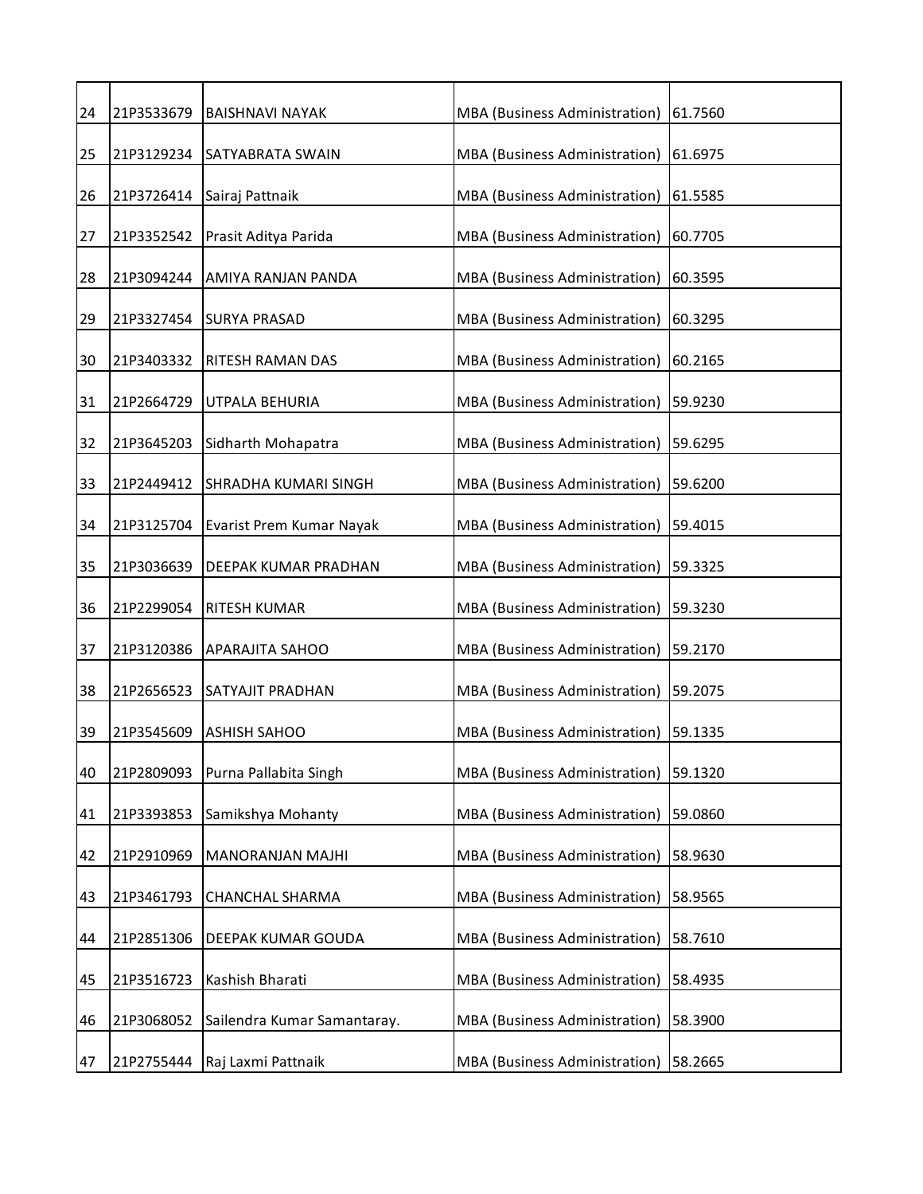| 24 | 21P3533679 | <b>BAISHNAVI NAYAK</b>      | MBA (Business Administration)        | 61.7560 |
|----|------------|-----------------------------|--------------------------------------|---------|
| 25 | 21P3129234 | <b>SATYABRATA SWAIN</b>     | MBA (Business Administration)        | 61.6975 |
| 26 | 21P3726414 | Sairaj Pattnaik             | MBA (Business Administration)        | 61.5585 |
| 27 | 21P3352542 | Prasit Aditya Parida        | MBA (Business Administration)        | 60.7705 |
| 28 | 21P3094244 | AMIYA RANJAN PANDA          | MBA (Business Administration)        | 60.3595 |
| 29 | 21P3327454 | <b>SURYA PRASAD</b>         | MBA (Business Administration)        | 60.3295 |
| 30 | 21P3403332 | <b>RITESH RAMAN DAS</b>     | MBA (Business Administration)        | 60.2165 |
| 31 | 21P2664729 | UTPALA BEHURIA              | MBA (Business Administration)        | 59.9230 |
| 32 | 21P3645203 | Sidharth Mohapatra          | MBA (Business Administration)        | 59.6295 |
| 33 | 21P2449412 | SHRADHA KUMARI SINGH        | MBA (Business Administration)        | 59.6200 |
| 34 | 21P3125704 | Evarist Prem Kumar Nayak    | MBA (Business Administration)        | 59.4015 |
| 35 | 21P3036639 | <b>DEEPAK KUMAR PRADHAN</b> | MBA (Business Administration)        | 59.3325 |
| 36 | 21P2299054 | <b>RITESH KUMAR</b>         | MBA (Business Administration)        | 59.3230 |
| 37 | 21P3120386 | <b>APARAJITA SAHOO</b>      | MBA (Business Administration)        | 59.2170 |
| 38 | 21P2656523 | SATYAJIT PRADHAN            | MBA (Business Administration)        | 59.2075 |
| 39 | 21P3545609 | <b>ASHISH SAHOO</b>         | MBA (Business Administration)        | 59.1335 |
| 40 | 21P2809093 | Purna Pallabita Singh       | MBA (Business Administration)        | 59.1320 |
| 41 | 21P3393853 | Samikshya Mohanty           | <b>MBA</b> (Business Administration) | 59.0860 |
| 42 | 21P2910969 | MANORANJAN MAJHI            | <b>MBA</b> (Business Administration) | 58.9630 |
| 43 | 21P3461793 | <b>CHANCHAL SHARMA</b>      | MBA (Business Administration)        | 58.9565 |
| 44 | 21P2851306 | DEEPAK KUMAR GOUDA          | MBA (Business Administration)        | 58.7610 |
| 45 | 21P3516723 | Kashish Bharati             | MBA (Business Administration)        | 58.4935 |
| 46 | 21P3068052 | Sailendra Kumar Samantaray. | MBA (Business Administration)        | 58.3900 |
| 47 | 21P2755444 | Raj Laxmi Pattnaik          | MBA (Business Administration)        | 58.2665 |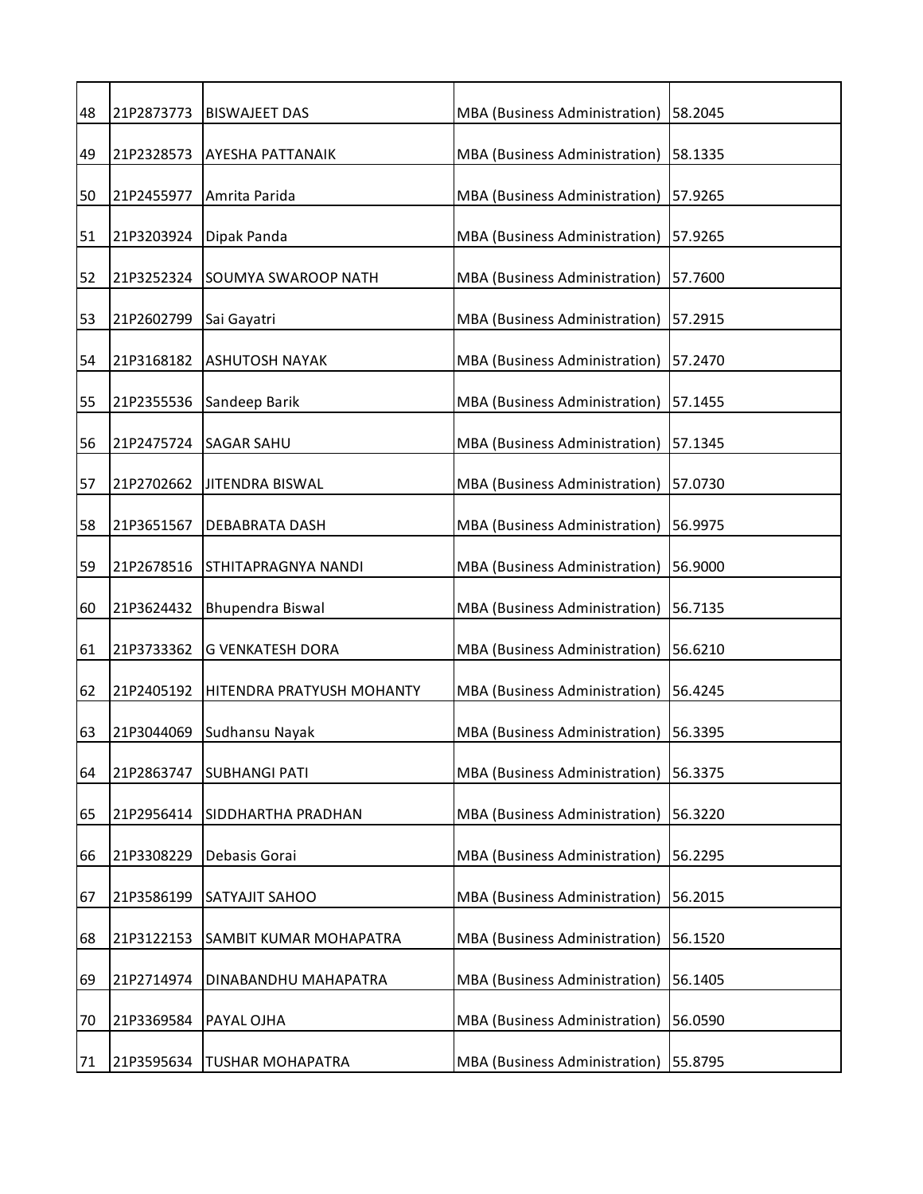| 48 | 21P2873773 | <b>BISWAJEET DAS</b>      | MBA (Business Administration) | 58.2045 |
|----|------------|---------------------------|-------------------------------|---------|
| 49 | 21P2328573 | AYESHA PATTANAIK          | MBA (Business Administration) | 58.1335 |
| 50 | 21P2455977 | Amrita Parida             | MBA (Business Administration) | 57.9265 |
| 51 | 21P3203924 | Dipak Panda               | MBA (Business Administration) | 57.9265 |
| 52 | 21P3252324 | SOUMYA SWAROOP NATH       | MBA (Business Administration) | 57.7600 |
| 53 | 21P2602799 | Sai Gayatri               | MBA (Business Administration) | 57.2915 |
| 54 | 21P3168182 | <b>ASHUTOSH NAYAK</b>     | MBA (Business Administration) | 57.2470 |
| 55 | 21P2355536 | Sandeep Barik             | MBA (Business Administration) | 57.1455 |
| 56 | 21P2475724 | <b>SAGAR SAHU</b>         | MBA (Business Administration) | 57.1345 |
| 57 | 21P2702662 | JITENDRA BISWAL           | MBA (Business Administration) | 57.0730 |
| 58 | 21P3651567 | DEBABRATA DASH            | MBA (Business Administration) | 56.9975 |
| 59 | 21P2678516 | STHITAPRAGNYA NANDI       | MBA (Business Administration) | 56.9000 |
| 60 | 21P3624432 | Bhupendra Biswal          | MBA (Business Administration) | 56.7135 |
| 61 | 21P3733362 | <b>G VENKATESH DORA</b>   | MBA (Business Administration) | 56.6210 |
| 62 | 21P2405192 | HITENDRA PRATYUSH MOHANTY | MBA (Business Administration) | 56.4245 |
| 63 | 21P3044069 | Sudhansu Nayak            | MBA (Business Administration) | 56.3395 |
| 64 | 21P2863747 | <b>SUBHANGI PATI</b>      | MBA (Business Administration) | 56.3375 |
| 65 | 21P2956414 | SIDDHARTHA PRADHAN        | MBA (Business Administration) | 56.3220 |
| 66 | 21P3308229 | Debasis Gorai             | MBA (Business Administration) | 56.2295 |
| 67 | 21P3586199 | SATYAJIT SAHOO            | MBA (Business Administration) | 56.2015 |
| 68 | 21P3122153 | SAMBIT KUMAR MOHAPATRA    | MBA (Business Administration) | 56.1520 |
| 69 | 21P2714974 | DINABANDHU MAHAPATRA      | MBA (Business Administration) | 56.1405 |
| 70 | 21P3369584 | PAYAL OJHA                | MBA (Business Administration) | 56.0590 |
| 71 | 21P3595634 | <b>TUSHAR MOHAPATRA</b>   | MBA (Business Administration) | 55.8795 |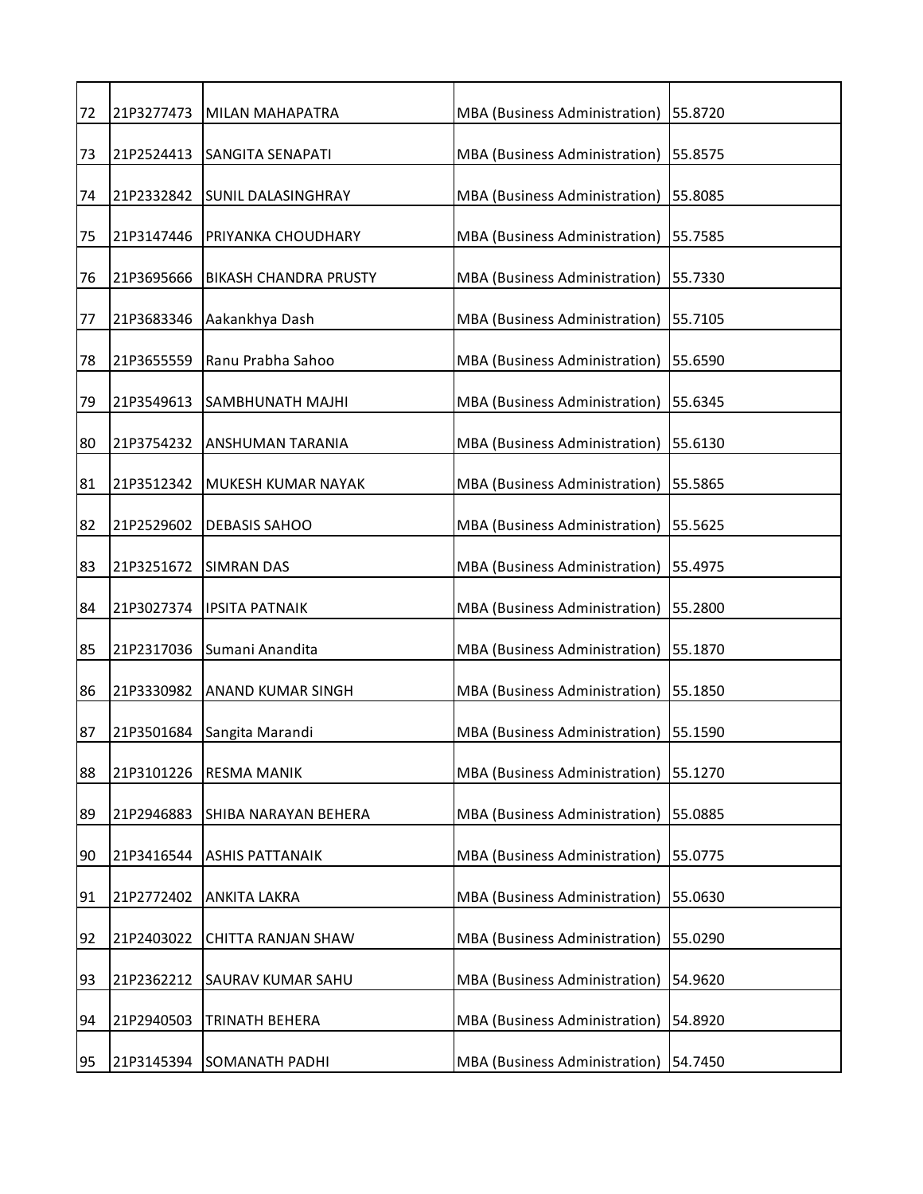| 72 | 21P3277473 | MILAN MAHAPATRA              | MBA (Business Administration)        | 55.8720 |
|----|------------|------------------------------|--------------------------------------|---------|
| 73 | 21P2524413 | <b>SANGITA SENAPATI</b>      | MBA (Business Administration)        | 55.8575 |
| 74 | 21P2332842 | <b>SUNIL DALASINGHRAY</b>    | MBA (Business Administration)        | 55.8085 |
| 75 | 21P3147446 | PRIYANKA CHOUDHARY           | MBA (Business Administration)        | 55.7585 |
| 76 | 21P3695666 | <b>BIKASH CHANDRA PRUSTY</b> | MBA (Business Administration)        | 55.7330 |
| 77 | 21P3683346 | Aakankhya Dash               | MBA (Business Administration)        | 55.7105 |
| 78 | 21P3655559 | Ranu Prabha Sahoo            | MBA (Business Administration)        | 55.6590 |
| 79 | 21P3549613 | <b>SAMBHUNATH MAJHI</b>      | MBA (Business Administration)        | 55.6345 |
| 80 | 21P3754232 | ANSHUMAN TARANIA             | MBA (Business Administration)        | 55.6130 |
| 81 | 21P3512342 | MUKESH KUMAR NAYAK           | MBA (Business Administration)        | 55.5865 |
| 82 | 21P2529602 | <b>DEBASIS SAHOO</b>         | MBA (Business Administration)        | 55.5625 |
| 83 | 21P3251672 | <b>SIMRAN DAS</b>            | MBA (Business Administration)        | 55.4975 |
| 84 | 21P3027374 | <b>IPSITA PATNAIK</b>        | MBA (Business Administration)        | 55.2800 |
| 85 | 21P2317036 | Sumani Anandita              | MBA (Business Administration)        | 55.1870 |
| 86 | 21P3330982 | <b>ANAND KUMAR SINGH</b>     | MBA (Business Administration)        | 55.1850 |
| 87 | 21P3501684 | Sangita Marandi              | MBA (Business Administration)        | 55.1590 |
| 88 | 21P3101226 | <b>RESMA MANIK</b>           | MBA (Business Administration)        | 55.1270 |
| 89 | 21P2946883 | SHIBA NARAYAN BEHERA         | MBA (Business Administration)        | 55.0885 |
| 90 | 21P3416544 | <b>ASHIS PATTANAIK</b>       | <b>MBA</b> (Business Administration) | 55.0775 |
| 91 | 21P2772402 | <b>ANKITA LAKRA</b>          | MBA (Business Administration)        | 55.0630 |
| 92 | 21P2403022 | <b>CHITTA RANJAN SHAW</b>    | MBA (Business Administration)        | 55.0290 |
| 93 | 21P2362212 | SAURAV KUMAR SAHU            | MBA (Business Administration)        | 54.9620 |
| 94 | 21P2940503 | TRINATH BEHERA               | MBA (Business Administration)        | 54.8920 |
| 95 | 21P3145394 | <b>SOMANATH PADHI</b>        | MBA (Business Administration)        | 54.7450 |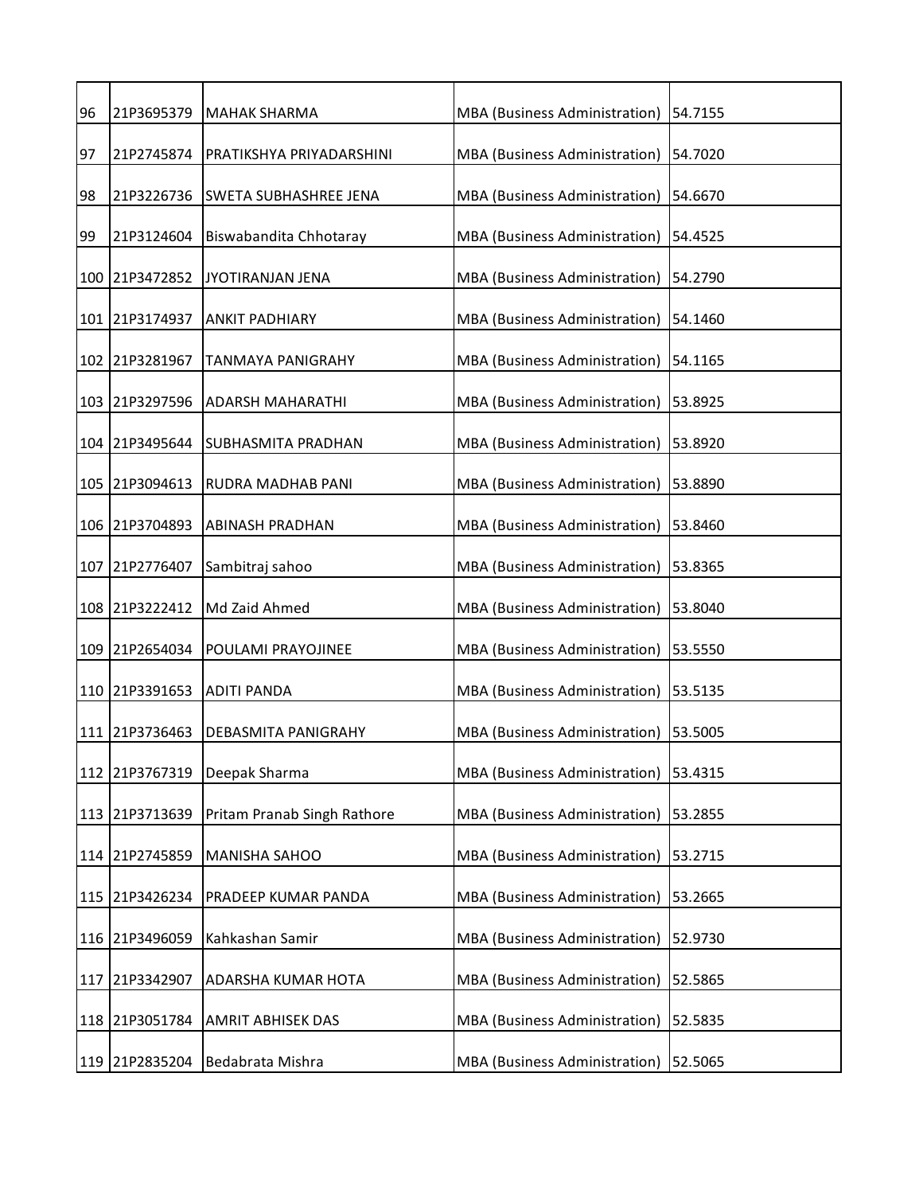| 96  | 21P3695379     | MAHAK SHARMA                 | MBA (Business Administration) | 54.7155 |
|-----|----------------|------------------------------|-------------------------------|---------|
| 97  | 21P2745874     | PRATIKSHYA PRIYADARSHINI     | MBA (Business Administration) | 54.7020 |
| 98  | 21P3226736     | <b>SWETA SUBHASHREE JENA</b> | MBA (Business Administration) | 54.6670 |
| 99  | 21P3124604     | Biswabandita Chhotaray       | MBA (Business Administration) | 54.4525 |
|     | 100 21P3472852 | JYOTIRANJAN JENA             | MBA (Business Administration) | 54.2790 |
|     | 101 21P3174937 | <b>ANKIT PADHIARY</b>        | MBA (Business Administration) | 54.1460 |
|     | 102 21P3281967 | TANMAYA PANIGRAHY            | MBA (Business Administration) | 54.1165 |
|     | 103 21P3297596 | <b>ADARSH MAHARATHI</b>      | MBA (Business Administration) | 53.8925 |
|     | 104 21P3495644 | <b>SUBHASMITA PRADHAN</b>    | MBA (Business Administration) | 53.8920 |
|     | 105 21P3094613 | <b>RUDRA MADHAB PANI</b>     | MBA (Business Administration) | 53.8890 |
|     | 106 21P3704893 | <b>ABINASH PRADHAN</b>       | MBA (Business Administration) | 53.8460 |
|     | 107 21P2776407 | Sambitraj sahoo              | MBA (Business Administration) | 53.8365 |
|     | 108 21P3222412 | Md Zaid Ahmed                | MBA (Business Administration) | 53.8040 |
| 109 | 21P2654034     | POULAMI PRAYOJINEE           | MBA (Business Administration) | 53.5550 |
|     | 110 21P3391653 | <b>ADITI PANDA</b>           | MBA (Business Administration) | 53.5135 |
|     | 111 21P3736463 | DEBASMITA PANIGRAHY          | MBA (Business Administration) | 53.5005 |
|     | 112 21P3767319 | Deepak Sharma                | MBA (Business Administration) | 53.4315 |
| 113 | 21P3713639     | Pritam Pranab Singh Rathore  | MBA (Business Administration) | 53.2855 |
|     | 114 21P2745859 | <b>MANISHA SAHOO</b>         | MBA (Business Administration) | 53.2715 |
| 115 | 21P3426234     | PRADEEP KUMAR PANDA          | MBA (Business Administration) | 53.2665 |
|     | 116 21P3496059 | Kahkashan Samir              | MBA (Business Administration) | 52.9730 |
| 117 | 21P3342907     | ADARSHA KUMAR HOTA           | MBA (Business Administration) | 52.5865 |
|     | 118 21P3051784 | <b>AMRIT ABHISEK DAS</b>     | MBA (Business Administration) | 52.5835 |
|     | 119 21P2835204 | Bedabrata Mishra             | MBA (Business Administration) | 52.5065 |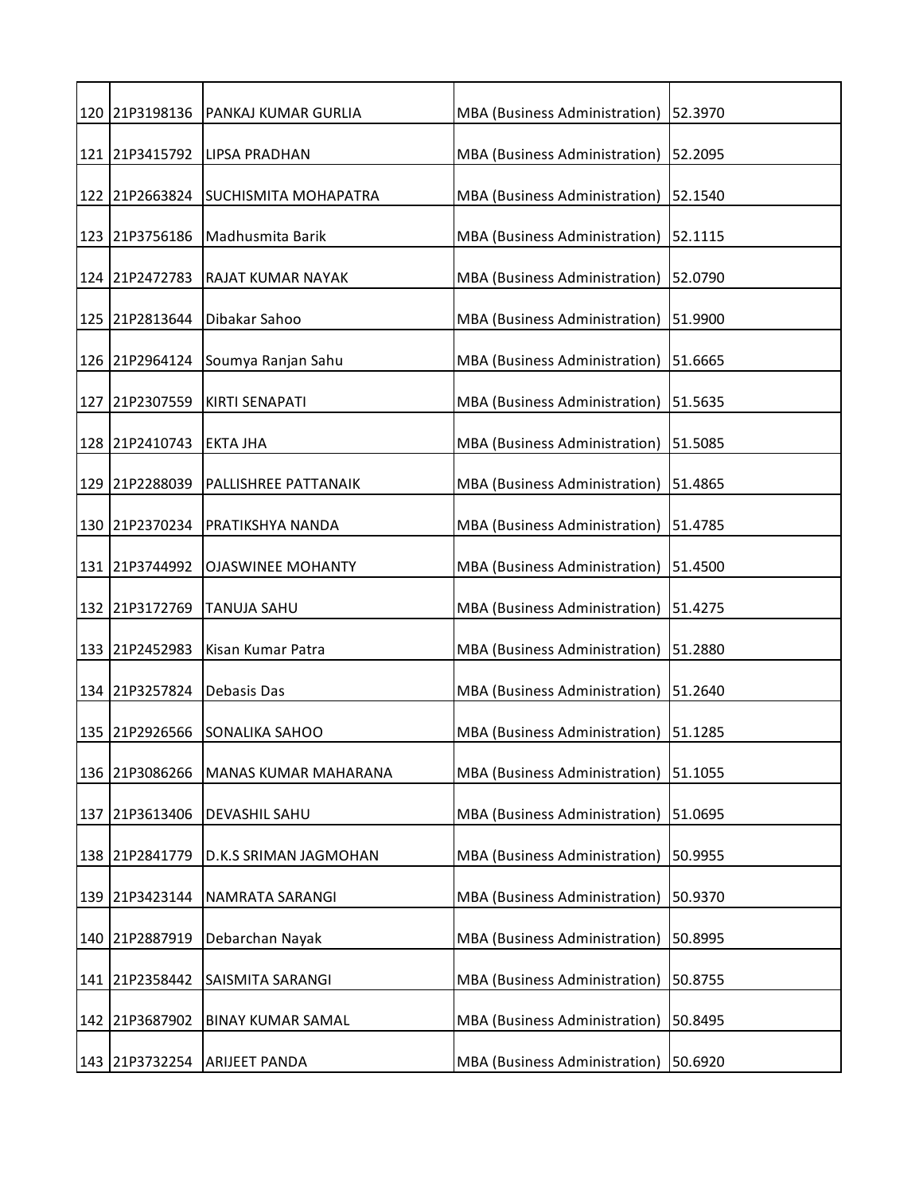|     | 120 21P3198136 | <b>PANKAJ KUMAR GURLIA</b>  | MBA (Business Administration) | 52.3970 |
|-----|----------------|-----------------------------|-------------------------------|---------|
| 121 | 21P3415792     | <b>LIPSA PRADHAN</b>        | MBA (Business Administration) | 52.2095 |
|     | 122 21P2663824 | <b>SUCHISMITA MOHAPATRA</b> | MBA (Business Administration) | 52.1540 |
|     |                |                             |                               |         |
|     | 123 21P3756186 | Madhusmita Barik            | MBA (Business Administration) | 52.1115 |
|     | 124 21P2472783 | RAJAT KUMAR NAYAK           | MBA (Business Administration) | 52.0790 |
|     | 125 21P2813644 | Dibakar Sahoo               | MBA (Business Administration) | 51.9900 |
|     |                |                             |                               |         |
|     | 126 21P2964124 | Soumya Ranjan Sahu          | MBA (Business Administration) | 51.6665 |
|     | 127 21P2307559 | <b>KIRTI SENAPATI</b>       | MBA (Business Administration) | 51.5635 |
|     | 128 21P2410743 | <b>EKTA JHA</b>             | MBA (Business Administration) | 51.5085 |
|     |                |                             |                               |         |
|     | 129 21P2288039 | PALLISHREE PATTANAIK        | MBA (Business Administration) | 51.4865 |
|     | 130 21P2370234 | <b>PRATIKSHYA NANDA</b>     | MBA (Business Administration) | 51.4785 |
|     | 131 21P3744992 | <b>OJASWINEE MOHANTY</b>    | MBA (Business Administration) | 51.4500 |
|     |                |                             |                               |         |
|     | 132 21P3172769 | <b>TANUJA SAHU</b>          | MBA (Business Administration) | 51.4275 |
| 133 | 21P2452983     | Kisan Kumar Patra           | MBA (Business Administration) | 51.2880 |
|     | 134 21P3257824 | Debasis Das                 | MBA (Business Administration) | 51.2640 |
| 135 | 21P2926566     | <b>SONALIKA SAHOO</b>       | MBA (Business Administration) | 51.1285 |
|     | 136 21P3086266 | <b>MANAS KUMAR MAHARANA</b> | MBA (Business Administration) | 51.1055 |
|     |                |                             |                               |         |
| 137 | 21P3613406     | DEVASHIL SAHU               | MBA (Business Administration) | 51.0695 |
| 138 | 21P2841779     | D.K.S SRIMAN JAGMOHAN       | MBA (Business Administration) | 50.9955 |
| 139 | 21P3423144     | NAMRATA SARANGI             | MBA (Business Administration) | 50.9370 |
| 140 | 21P2887919     | Debarchan Nayak             | MBA (Business Administration) | 50.8995 |
|     |                |                             |                               |         |
| 141 | 21P2358442     | SAISMITA SARANGI            | MBA (Business Administration) | 50.8755 |
| 142 | 21P3687902     | <b>BINAY KUMAR SAMAL</b>    | MBA (Business Administration) | 50.8495 |
|     | 143 21P3732254 | <b>ARIJEET PANDA</b>        | MBA (Business Administration) | 50.6920 |
|     |                |                             |                               |         |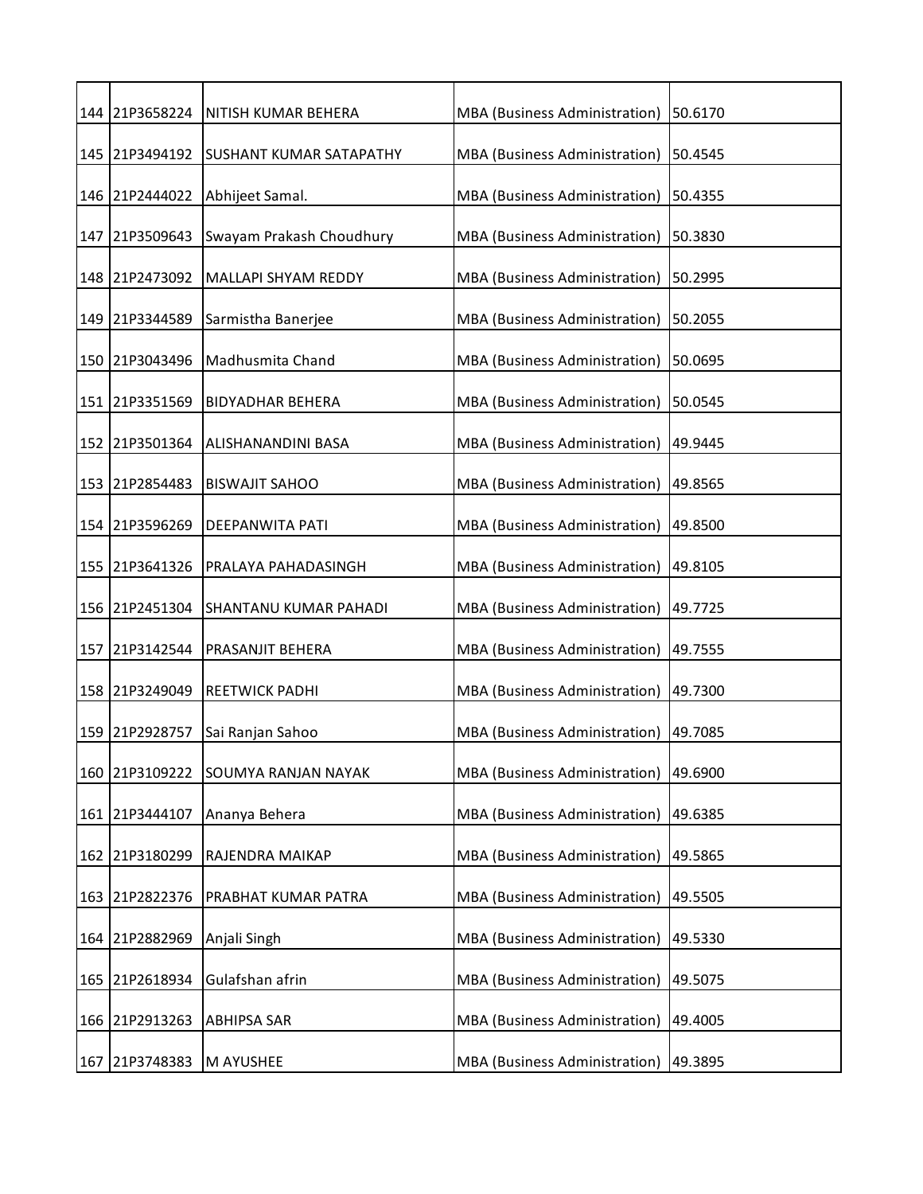|     |                | 144 21P3658224 NITISH KUMAR BEHERA | MBA (Business Administration)        | 50.6170 |
|-----|----------------|------------------------------------|--------------------------------------|---------|
|     | 145 21P3494192 | <b>SUSHANT KUMAR SATAPATHY</b>     | MBA (Business Administration)        | 50.4545 |
|     | 146 21P2444022 | Abhijeet Samal.                    | MBA (Business Administration)        | 50.4355 |
|     | 147 21P3509643 | Swayam Prakash Choudhury           | MBA (Business Administration)        | 50.3830 |
|     | 148 21P2473092 | <b>MALLAPI SHYAM REDDY</b>         | MBA (Business Administration)        | 50.2995 |
|     | 149 21P3344589 | Sarmistha Banerjee                 | MBA (Business Administration)        | 50.2055 |
|     | 150 21P3043496 | Madhusmita Chand                   | MBA (Business Administration)        | 50.0695 |
|     | 151 21P3351569 | <b>BIDYADHAR BEHERA</b>            | MBA (Business Administration)        | 50.0545 |
|     | 152 21P3501364 | ALISHANANDINI BASA                 | MBA (Business Administration)        | 49.9445 |
|     | 153 21P2854483 | <b>BISWAJIT SAHOO</b>              | MBA (Business Administration)        | 49.8565 |
|     | 154 21P3596269 | <b>DEEPANWITA PATI</b>             | MBA (Business Administration)        | 49.8500 |
|     | 155 21P3641326 | PRALAYA PAHADASINGH                | MBA (Business Administration)        | 49.8105 |
|     | 156 21P2451304 | SHANTANU KUMAR PAHADI              | MBA (Business Administration)        | 49.7725 |
| 157 | 21P3142544     | PRASANJIT BEHERA                   | MBA (Business Administration)        | 49.7555 |
|     | 158 21P3249049 | <b>REETWICK PADHI</b>              | MBA (Business Administration)        | 49.7300 |
|     | 159 21P2928757 | Sai Ranjan Sahoo                   | MBA (Business Administration)        | 49.7085 |
|     | 160 21P3109222 | <b>SOUMYA RANJAN NAYAK</b>         | MBA (Business Administration)        | 49.6900 |
| 161 | 21P3444107     | Ananya Behera                      | <b>MBA</b> (Business Administration) | 49.6385 |
| 162 | 21P3180299     | RAJENDRA MAIKAP                    | MBA (Business Administration)        | 49.5865 |
| 163 | 21P2822376     | PRABHAT KUMAR PATRA                | MBA (Business Administration)        | 49.5505 |
|     | 164 21P2882969 | Anjali Singh                       | MBA (Business Administration)        | 49.5330 |
|     | 165 21P2618934 | Gulafshan afrin                    | MBA (Business Administration)        | 49.5075 |
|     | 166 21P2913263 | <b>ABHIPSA SAR</b>                 | MBA (Business Administration)        | 49.4005 |
|     | 167 21P3748383 | M AYUSHEE                          | MBA (Business Administration)        | 49.3895 |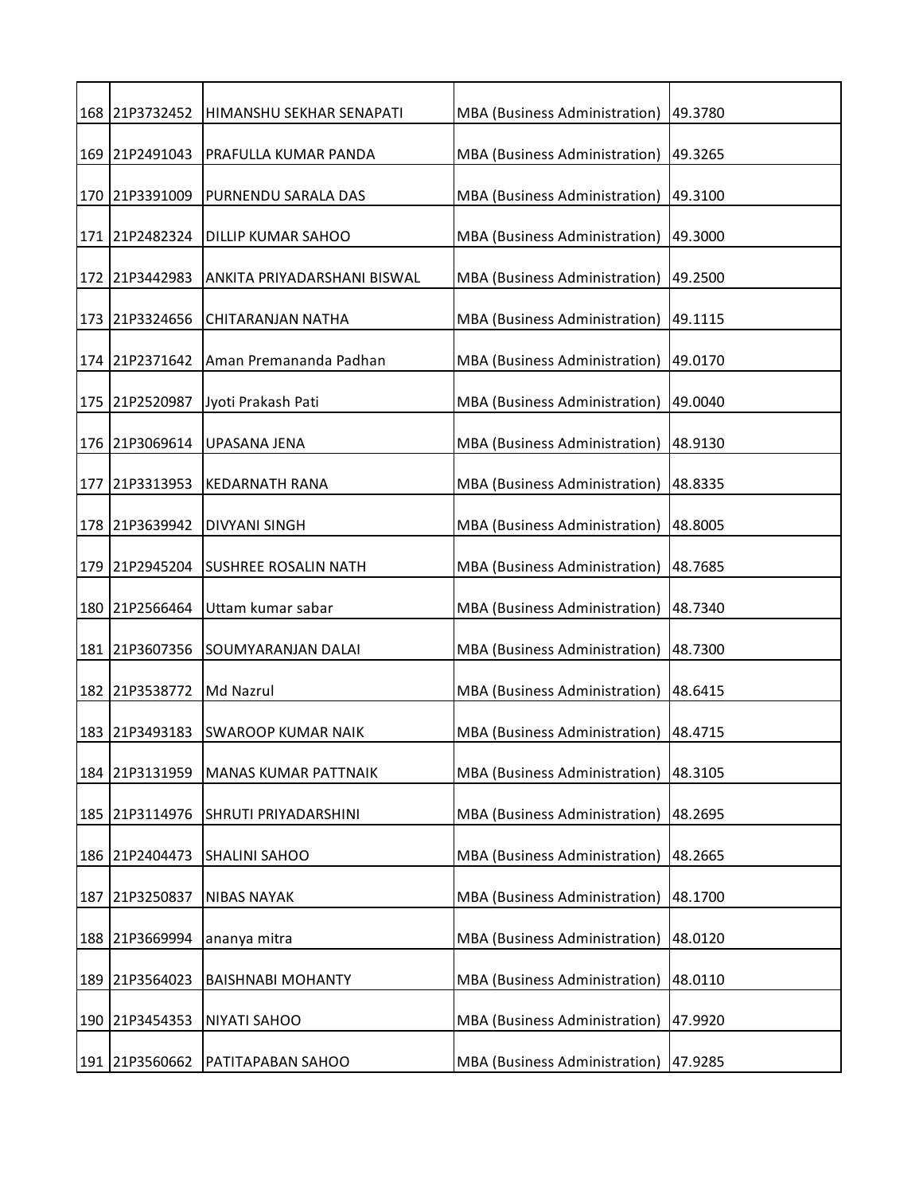|     | 168 21P3732452 | HIMANSHU SEKHAR SENAPATI    | MBA (Business Administration) 49.3780   |         |
|-----|----------------|-----------------------------|-----------------------------------------|---------|
|     | 169 21P2491043 | PRAFULLA KUMAR PANDA        | MBA (Business Administration)           | 49.3265 |
|     | 170 21P3391009 | PURNENDU SARALA DAS         | MBA (Business Administration)           | 49.3100 |
|     | 171 21P2482324 | <b>DILLIP KUMAR SAHOO</b>   | MBA (Business Administration)           | 49.3000 |
|     | 172 21P3442983 | ANKITA PRIYADARSHANI BISWAL | MBA (Business Administration)           | 49.2500 |
|     | 173 21P3324656 | CHITARANJAN NATHA           | MBA (Business Administration)           | 49.1115 |
|     | 174 21P2371642 | Aman Premananda Padhan      | MBA (Business Administration)           | 49.0170 |
|     | 175 21P2520987 | Jyoti Prakash Pati          | MBA (Business Administration)           | 49.0040 |
|     | 176 21P3069614 | UPASANA JENA                | MBA (Business Administration)           | 48.9130 |
|     | 177 21P3313953 | <b>KEDARNATH RANA</b>       | MBA (Business Administration)           | 48.8335 |
|     | 178 21P3639942 | <b>DIVYANI SINGH</b>        | MBA (Business Administration)   48.8005 |         |
|     | 179 21P2945204 | <b>SUSHREE ROSALIN NATH</b> | MBA (Business Administration)           | 48.7685 |
|     | 180 21P2566464 | Uttam kumar sabar           | MBA (Business Administration)           | 48.7340 |
|     | 181 21P3607356 | SOUMYARANJAN DALAI          | MBA (Business Administration)           | 48.7300 |
|     | 182 21P3538772 | Md Nazrul                   | MBA (Business Administration)           | 48.6415 |
|     | 183 21P3493183 | <b>SWAROOP KUMAR NAIK</b>   | MBA (Business Administration)           | 48.4715 |
|     | 184 21P3131959 | <b>MANAS KUMAR PATTNAIK</b> | MBA (Business Administration)           | 48.3105 |
|     | 185 21P3114976 | SHRUTI PRIYADARSHINI        | <b>MBA</b> (Business Administration)    | 48.2695 |
| 186 | 21P2404473     | <b>SHALINI SAHOO</b>        | MBA (Business Administration)           | 48.2665 |
| 187 | 21P3250837     | <b>NIBAS NAYAK</b>          | MBA (Business Administration)           | 48.1700 |
|     | 188 21P3669994 | ananya mitra                | MBA (Business Administration)           | 48.0120 |
| 189 | 21P3564023     | <b>BAISHNABI MOHANTY</b>    | MBA (Business Administration)           | 48.0110 |
| 190 | 21P3454353     | <b>NIYATI SAHOO</b>         | MBA (Business Administration)           | 47.9920 |
|     | 191 21P3560662 | PATITAPABAN SAHOO           | MBA (Business Administration) 47.9285   |         |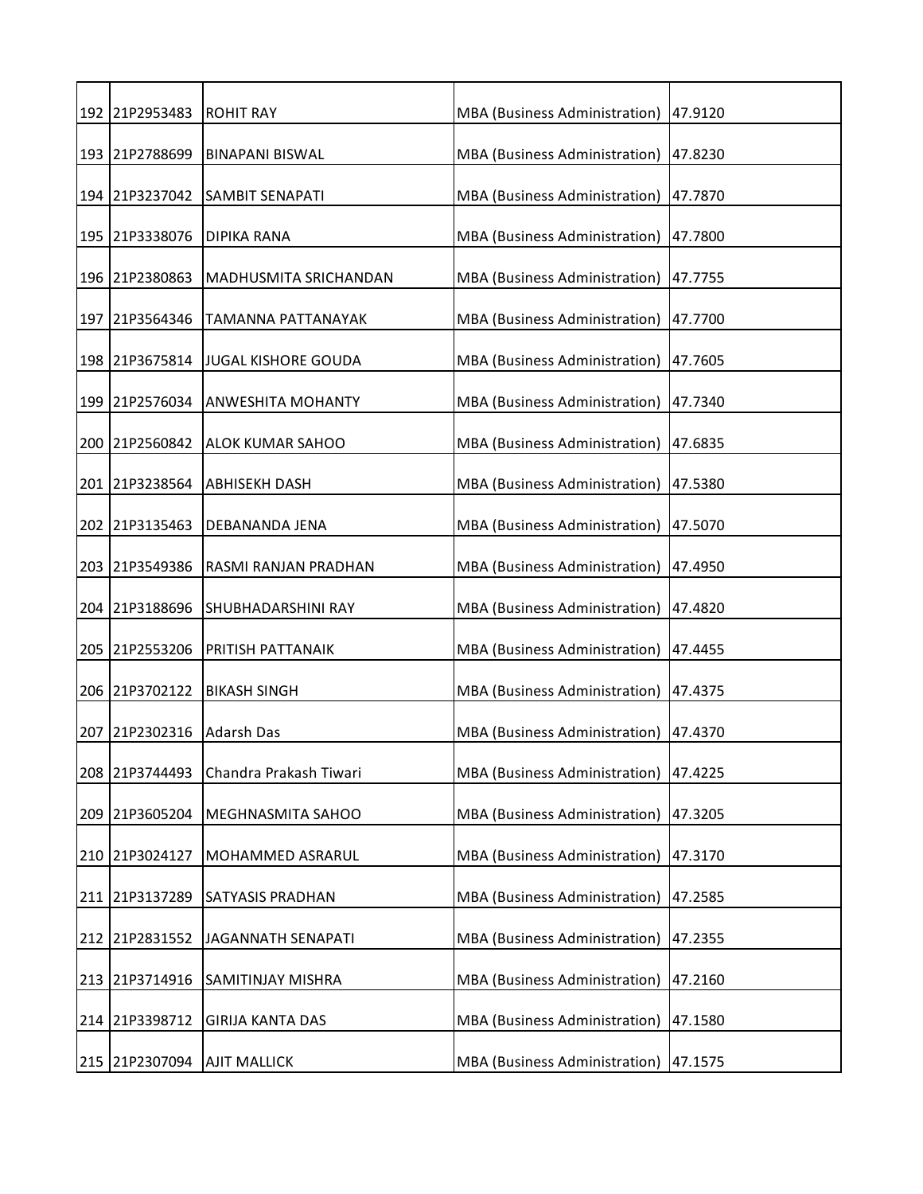|     | 192 21P2953483 | <b>ROHIT RAY</b>           | MBA (Business Administration)        | 47.9120 |
|-----|----------------|----------------------------|--------------------------------------|---------|
|     | 193 21P2788699 | <b>BINAPANI BISWAL</b>     | MBA (Business Administration)        | 47.8230 |
|     | 194 21P3237042 | <b>SAMBIT SENAPATI</b>     | MBA (Business Administration)        | 47.7870 |
|     | 195 21P3338076 | <b>DIPIKA RANA</b>         | MBA (Business Administration)        | 47.7800 |
|     | 196 21P2380863 | MADHUSMITA SRICHANDAN      | MBA (Business Administration)        | 47.7755 |
|     | 197 21P3564346 | TAMANNA PATTANAYAK         | MBA (Business Administration)        | 47.7700 |
|     | 198 21P3675814 | <b>JUGAL KISHORE GOUDA</b> | MBA (Business Administration)        | 47.7605 |
|     | 199 21P2576034 | ANWESHITA MOHANTY          | MBA (Business Administration)        | 47.7340 |
|     | 200 21P2560842 | <b>ALOK KUMAR SAHOO</b>    | MBA (Business Administration)        | 47.6835 |
|     | 201 21P3238564 | <b>ABHISEKH DASH</b>       | <b>MBA</b> (Business Administration) | 47.5380 |
|     | 202 21P3135463 | DEBANANDA JENA             | MBA (Business Administration)        | 47.5070 |
|     | 203 21P3549386 | RASMI RANJAN PRADHAN       | MBA (Business Administration)        | 47.4950 |
|     | 204 21P3188696 | SHUBHADARSHINI RAY         | MBA (Business Administration)        | 47.4820 |
|     | 205 21P2553206 | PRITISH PATTANAIK          | MBA (Business Administration)        | 47.4455 |
|     | 206 21P3702122 | BIKASH SINGH               | MBA (Business Administration)        | 47.4375 |
| 207 | 21P2302316     | <b>Adarsh Das</b>          | MBA (Business Administration)        | 47.4370 |
|     | 208 21P3744493 | Chandra Prakash Tiwari     | <b>MBA</b> (Business Administration) | 47.4225 |
| 209 | 21P3605204     | MEGHNASMITA SAHOO          | MBA (Business Administration)        | 47.3205 |
| 210 | 21P3024127     | MOHAMMED ASRARUL           | MBA (Business Administration)        | 47.3170 |
|     | 211 21P3137289 | SATYASIS PRADHAN           | MBA (Business Administration)        | 47.2585 |
| 212 | 21P2831552     | <b>JAGANNATH SENAPATI</b>  | MBA (Business Administration)        | 47.2355 |
|     | 213 21P3714916 | <b>SAMITINJAY MISHRA</b>   | MBA (Business Administration)        | 47.2160 |
| 214 | 21P3398712     | <b>GIRIJA KANTA DAS</b>    | MBA (Business Administration)        | 47.1580 |
|     | 215 21P2307094 | <b>AJIT MALLICK</b>        | MBA (Business Administration)        | 47.1575 |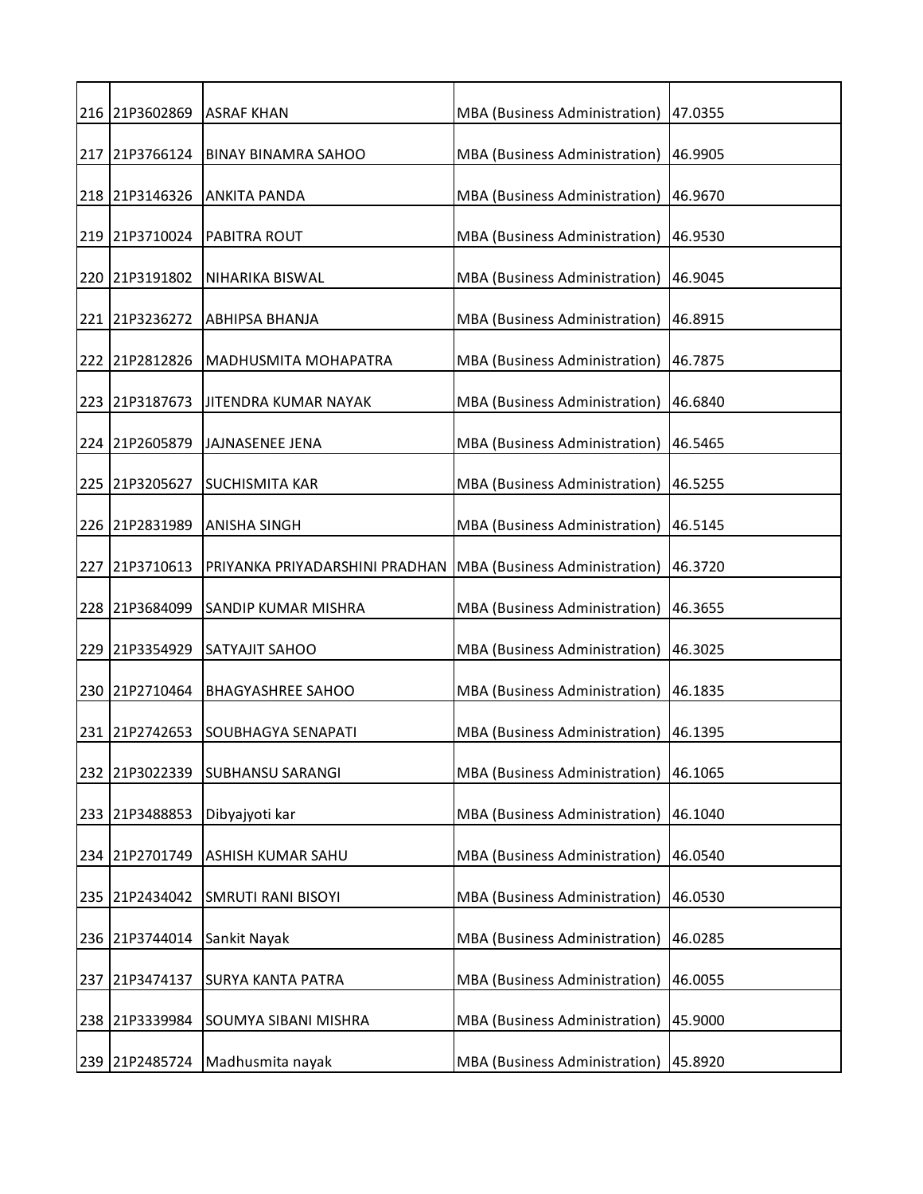| 216 21P3602869 | <b>ASRAF KHAN</b>              | MBA (Business Administration) | 47.0355 |
|----------------|--------------------------------|-------------------------------|---------|
| 217 21P3766124 | <b>BINAY BINAMRA SAHOO</b>     | MBA (Business Administration) | 46.9905 |
| 218 21P3146326 | <b>ANKITA PANDA</b>            | MBA (Business Administration) | 46.9670 |
| 219 21P3710024 | <b>PABITRA ROUT</b>            | MBA (Business Administration) | 46.9530 |
| 220 21P3191802 | <b>NIHARIKA BISWAL</b>         | MBA (Business Administration) | 46.9045 |
| 221 21P3236272 | <b>ABHIPSA BHANJA</b>          | MBA (Business Administration) | 46.8915 |
| 222 21P2812826 | <b>MADHUSMITA MOHAPATRA</b>    | MBA (Business Administration) | 46.7875 |
| 223 21P3187673 | JITENDRA KUMAR NAYAK           | MBA (Business Administration) | 46.6840 |
| 224 21P2605879 | JAJNASENEE JENA                | MBA (Business Administration) | 46.5465 |
| 225 21P3205627 | <b>SUCHISMITA KAR</b>          | MBA (Business Administration) | 46.5255 |
| 226 21P2831989 | <b>ANISHA SINGH</b>            | MBA (Business Administration) | 46.5145 |
| 227 21P3710613 | PRIYANKA PRIYADARSHINI PRADHAN | MBA (Business Administration) | 46.3720 |
| 228 21P3684099 | SANDIP KUMAR MISHRA            | MBA (Business Administration) | 46.3655 |
| 229 21P3354929 | SATYAJIT SAHOO                 | MBA (Business Administration) | 46.3025 |
| 230 21P2710464 | <b>BHAGYASHREE SAHOO</b>       | MBA (Business Administration) | 46.1835 |
| 231 21P2742653 | <b>SOUBHAGYA SENAPATI</b>      | MBA (Business Administration) | 46.1395 |
| 232 21P3022339 | <b>SUBHANSU SARANGI</b>        | MBA (Business Administration) | 46.1065 |
| 233 21P3488853 | Dibyajyoti kar                 | MBA (Business Administration) | 46.1040 |
| 234 21P2701749 | <b>ASHISH KUMAR SAHU</b>       | MBA (Business Administration) | 46.0540 |
| 235 21P2434042 | <b>SMRUTI RANI BISOYI</b>      | MBA (Business Administration) | 46.0530 |
| 236 21P3744014 | Sankit Nayak                   | MBA (Business Administration) | 46.0285 |
| 237 21P3474137 | <b>SURYA KANTA PATRA</b>       | MBA (Business Administration) | 46.0055 |
| 238 21P3339984 | SOUMYA SIBANI MISHRA           | MBA (Business Administration) | 45.9000 |
| 239 21P2485724 | Madhusmita nayak               | MBA (Business Administration) | 45.8920 |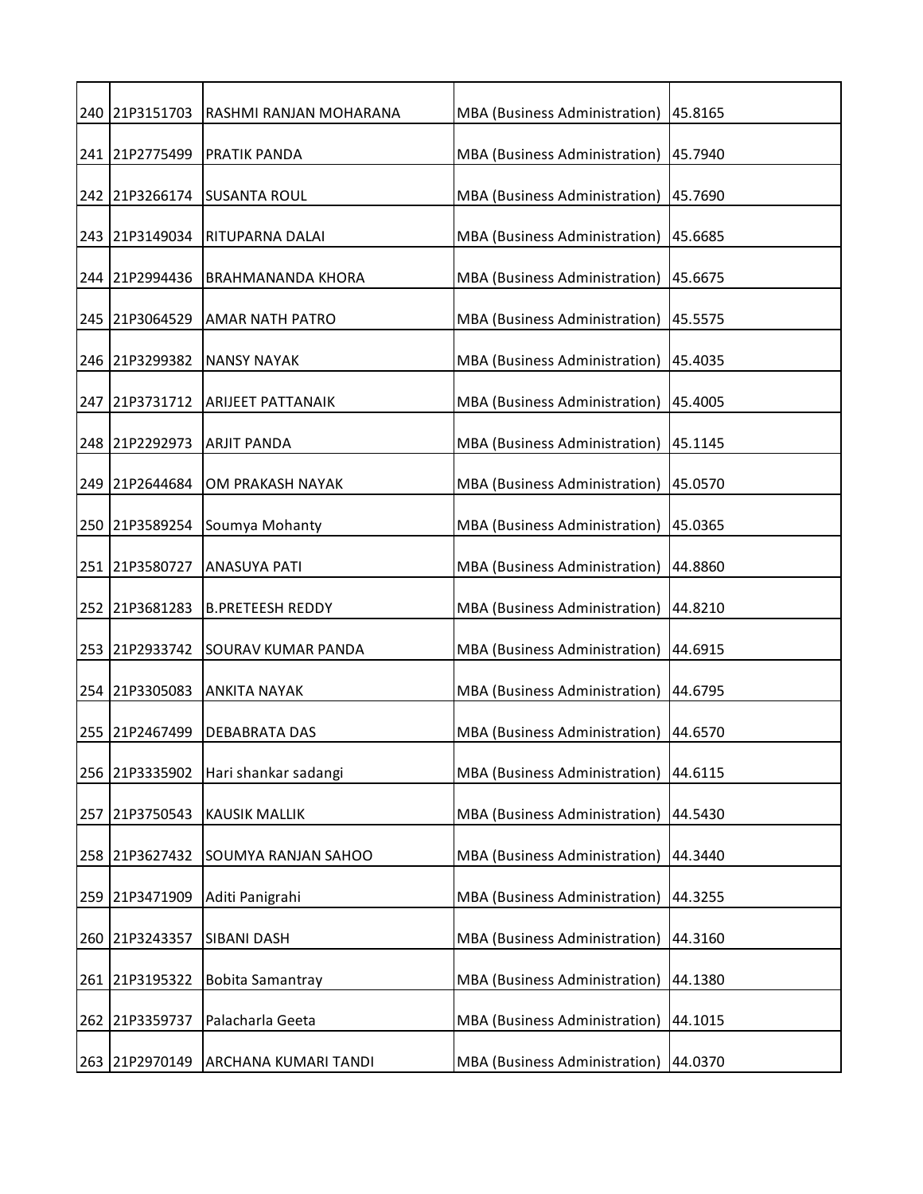|     | 240 21P3151703 | RASHMI RANJAN MOHARANA           | MBA (Business Administration)   45.8165 |         |
|-----|----------------|----------------------------------|-----------------------------------------|---------|
|     | 241 21P2775499 | <b>PRATIK PANDA</b>              | MBA (Business Administration)           | 45.7940 |
|     | 242 21P3266174 | <b>SUSANTA ROUL</b>              | MBA (Business Administration)           | 45.7690 |
|     | 243 21P3149034 | <b>RITUPARNA DALAI</b>           | MBA (Business Administration)           | 45.6685 |
|     | 244 21P2994436 | <b>BRAHMANANDA KHORA</b>         | MBA (Business Administration)           | 45.6675 |
|     | 245 21P3064529 | <b>AMAR NATH PATRO</b>           | MBA (Business Administration)           | 45.5575 |
|     | 246 21P3299382 | <b>NANSY NAYAK</b>               | MBA (Business Administration)           | 45.4035 |
|     |                | 247 21P3731712 ARIJEET PATTANAIK | MBA (Business Administration)           | 45.4005 |
|     | 248 21P2292973 | <b>ARJIT PANDA</b>               | MBA (Business Administration)           | 45.1145 |
|     | 249 21P2644684 | OM PRAKASH NAYAK                 | MBA (Business Administration)           | 45.0570 |
|     | 250 21P3589254 | Soumya Mohanty                   | MBA (Business Administration)           | 45.0365 |
|     | 251 21P3580727 | <b>ANASUYA PATI</b>              | MBA (Business Administration)           | 44.8860 |
|     | 252 21P3681283 | <b>B.PRETEESH REDDY</b>          | MBA (Business Administration)           | 44.8210 |
|     | 253 21P2933742 | <b>SOURAV KUMAR PANDA</b>        | MBA (Business Administration)           | 44.6915 |
|     | 254 21P3305083 | <b>ANKITA NAYAK</b>              | MBA (Business Administration)           | 44.6795 |
|     | 255 21P2467499 | DEBABRATA DAS                    | MBA (Business Administration)           | 44.6570 |
|     | 256 21P3335902 | Hari shankar sadangi             | MBA (Business Administration)           | 44.6115 |
|     | 257 21P3750543 | <b>KAUSIK MALLIK</b>             | MBA (Business Administration)           | 44.5430 |
|     | 258 21P3627432 | <b>SOUMYA RANJAN SAHOO</b>       | MBA (Business Administration)           | 44.3440 |
|     | 259 21P3471909 | Aditi Panigrahi                  | MBA (Business Administration)           | 44.3255 |
|     | 260 21P3243357 | <b>SIBANI DASH</b>               | MBA (Business Administration)           | 44.3160 |
|     | 261 21P3195322 | <b>Bobita Samantray</b>          | MBA (Business Administration)           | 44.1380 |
| 262 | 21P3359737     | Palacharla Geeta                 | MBA (Business Administration)           | 44.1015 |
|     | 263 21P2970149 | ARCHANA KUMARI TANDI             | <b>MBA</b> (Business Administration)    | 44.0370 |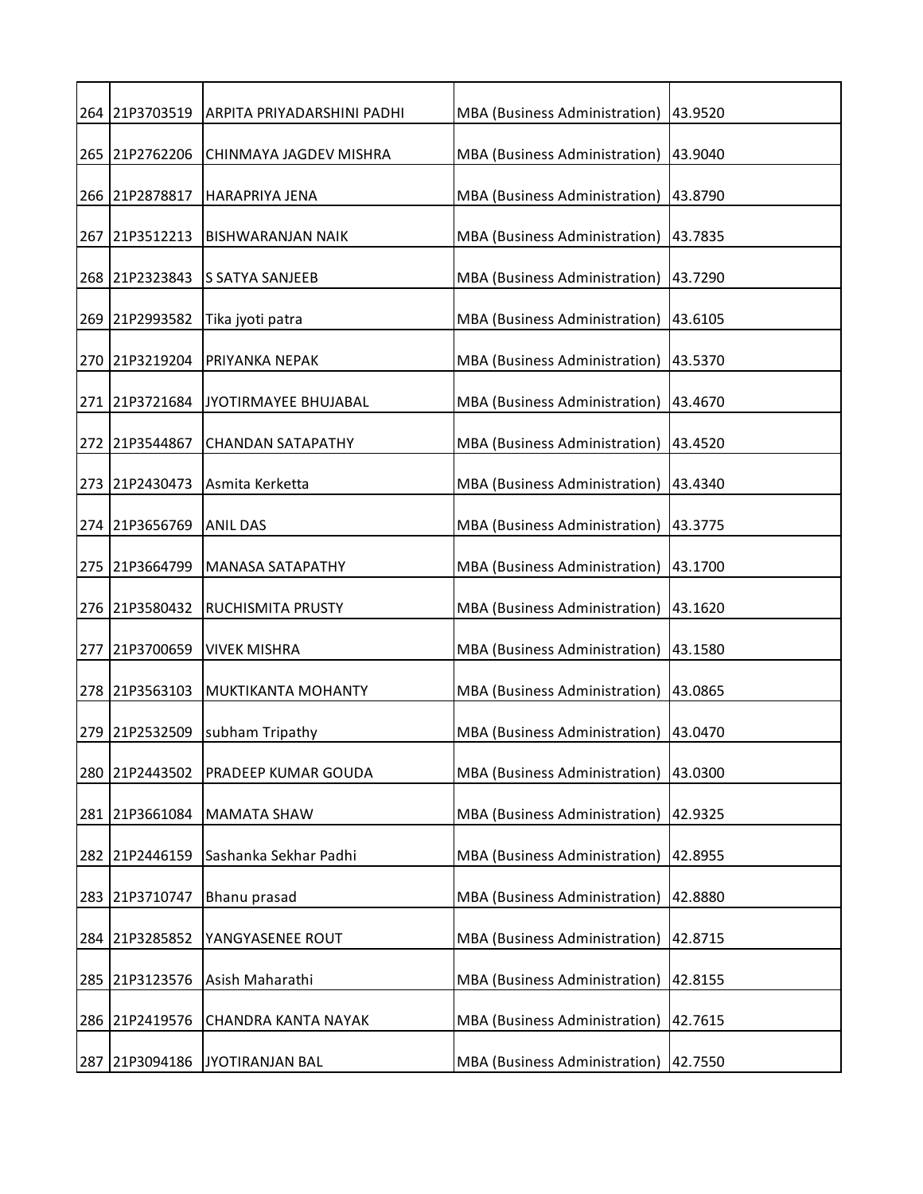| 264 21P3703519 | ARPITA PRIYADARSHINI PADHI  | MBA (Business Administration) 43.9520 |         |
|----------------|-----------------------------|---------------------------------------|---------|
| 265 21P2762206 | CHINMAYA JAGDEV MISHRA      | <b>MBA</b> (Business Administration)  | 43.9040 |
| 266 21P2878817 | <b>HARAPRIYA JENA</b>       | MBA (Business Administration)         | 43.8790 |
| 267 21P3512213 | <b>BISHWARANJAN NAIK</b>    | MBA (Business Administration)         | 43.7835 |
| 268 21P2323843 | <b>S SATYA SANJEEB</b>      | MBA (Business Administration)         | 43.7290 |
| 269 21P2993582 | Tika jyoti patra            | MBA (Business Administration)         | 43.6105 |
| 270 21P3219204 | PRIYANKA NEPAK              | MBA (Business Administration)         | 43.5370 |
| 271 21P3721684 | <b>JYOTIRMAYEE BHUJABAL</b> | MBA (Business Administration)         | 43.4670 |
| 272 21P3544867 | <b>CHANDAN SATAPATHY</b>    | MBA (Business Administration)         | 43.4520 |
| 273 21P2430473 | Asmita Kerketta             | <b>MBA</b> (Business Administration)  | 43.4340 |
| 274 21P3656769 | <b>ANIL DAS</b>             | MBA (Business Administration)         | 43.3775 |
| 275 21P3664799 | <b>MANASA SATAPATHY</b>     | MBA (Business Administration)         | 43.1700 |
| 276 21P3580432 | <b>RUCHISMITA PRUSTY</b>    | MBA (Business Administration)         | 43.1620 |
| 277 21P3700659 | <b>VIVEK MISHRA</b>         | MBA (Business Administration)         | 43.1580 |
| 278 21P3563103 | <b>MUKTIKANTA MOHANTY</b>   | MBA (Business Administration)         | 43.0865 |
| 279 21P2532509 | subham Tripathy             | <b>MBA</b> (Business Administration)  | 43.0470 |
| 280 21P2443502 | <b>PRADEEP KUMAR GOUDA</b>  | <b>MBA</b> (Business Administration)  | 43.0300 |
| 281 21P3661084 | <b>MAMATA SHAW</b>          | <b>MBA</b> (Business Administration)  | 42.9325 |
| 282 21P2446159 | Sashanka Sekhar Padhi       | MBA (Business Administration)         | 42.8955 |
| 283 21P3710747 | Bhanu prasad                | MBA (Business Administration)         | 42.8880 |
| 284 21P3285852 | YANGYASENEE ROUT            | MBA (Business Administration)         | 42.8715 |
| 285 21P3123576 | Asish Maharathi             | MBA (Business Administration)         | 42.8155 |
| 286 21P2419576 | <b>CHANDRA KANTA NAYAK</b>  | MBA (Business Administration)         | 42.7615 |
| 287 21P3094186 | JYOTIRANJAN BAL             | MBA (Business Administration)         | 42.7550 |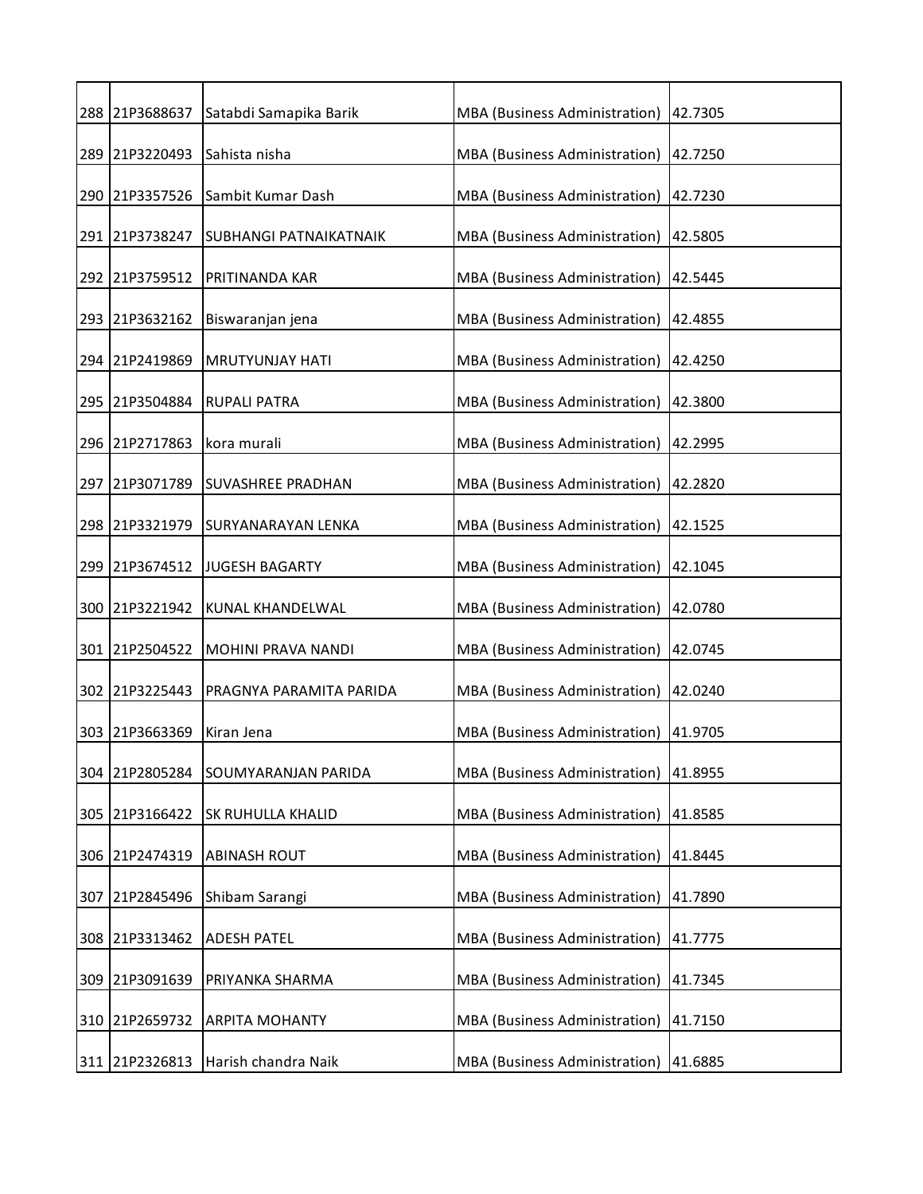|     | 288 21P3688637 | Satabdi Samapika Barik   | MBA (Business Administration)        | 42.7305 |
|-----|----------------|--------------------------|--------------------------------------|---------|
|     | 289 21P3220493 | Sahista nisha            | MBA (Business Administration)        | 42.7250 |
|     | 290 21P3357526 | Sambit Kumar Dash        | MBA (Business Administration)        | 42.7230 |
|     | 291 21P3738247 | SUBHANGI PATNAIKATNAIK   | MBA (Business Administration)        | 42.5805 |
|     | 292 21P3759512 | PRITINANDA KAR           | MBA (Business Administration)        | 42.5445 |
|     | 293 21P3632162 | Biswaranjan jena         | MBA (Business Administration)        | 42.4855 |
|     | 294 21P2419869 | <b>MRUTYUNJAY HATI</b>   | MBA (Business Administration)        | 42.4250 |
|     | 295 21P3504884 | <b>RUPALI PATRA</b>      | MBA (Business Administration)        | 42.3800 |
|     | 296 21P2717863 | kora murali              | MBA (Business Administration)        | 42.2995 |
|     | 297 21P3071789 | <b>SUVASHREE PRADHAN</b> | MBA (Business Administration)        | 42.2820 |
|     | 298 21P3321979 | SURYANARAYAN LENKA       | MBA (Business Administration)        | 42.1525 |
|     | 299 21P3674512 | <b>JUGESH BAGARTY</b>    | MBA (Business Administration)        | 42.1045 |
|     | 300 21P3221942 | KUNAL KHANDELWAL         | MBA (Business Administration)        | 42.0780 |
|     | 301 21P2504522 | MOHINI PRAVA NANDI       | MBA (Business Administration)        | 42.0745 |
|     | 302 21P3225443 | PRAGNYA PARAMITA PARIDA  | MBA (Business Administration)        | 42.0240 |
| 303 | 21P3663369     | Kiran Jena               | MBA (Business Administration)        | 41.9705 |
| 304 | 21P2805284     | SOUMYARANJAN PARIDA      | MBA (Business Administration)        | 41.8955 |
|     | 305 21P3166422 | <b>SK RUHULLA KHALID</b> | <b>MBA</b> (Business Administration) | 41.8585 |
| 306 | 21P2474319     | <b>ABINASH ROUT</b>      | MBA (Business Administration)        | 41.8445 |
| 307 | 21P2845496     | Shibam Sarangi           | MBA (Business Administration)        | 41.7890 |
|     | 308 21P3313462 | <b>ADESH PATEL</b>       | MBA (Business Administration)        | 41.7775 |
| 309 | 21P3091639     | PRIYANKA SHARMA          | MBA (Business Administration)        | 41.7345 |
| 310 | 21P2659732     | <b>ARPITA MOHANTY</b>    | MBA (Business Administration)        | 41.7150 |
|     | 311 21P2326813 | Harish chandra Naik      | MBA (Business Administration)        | 41.6885 |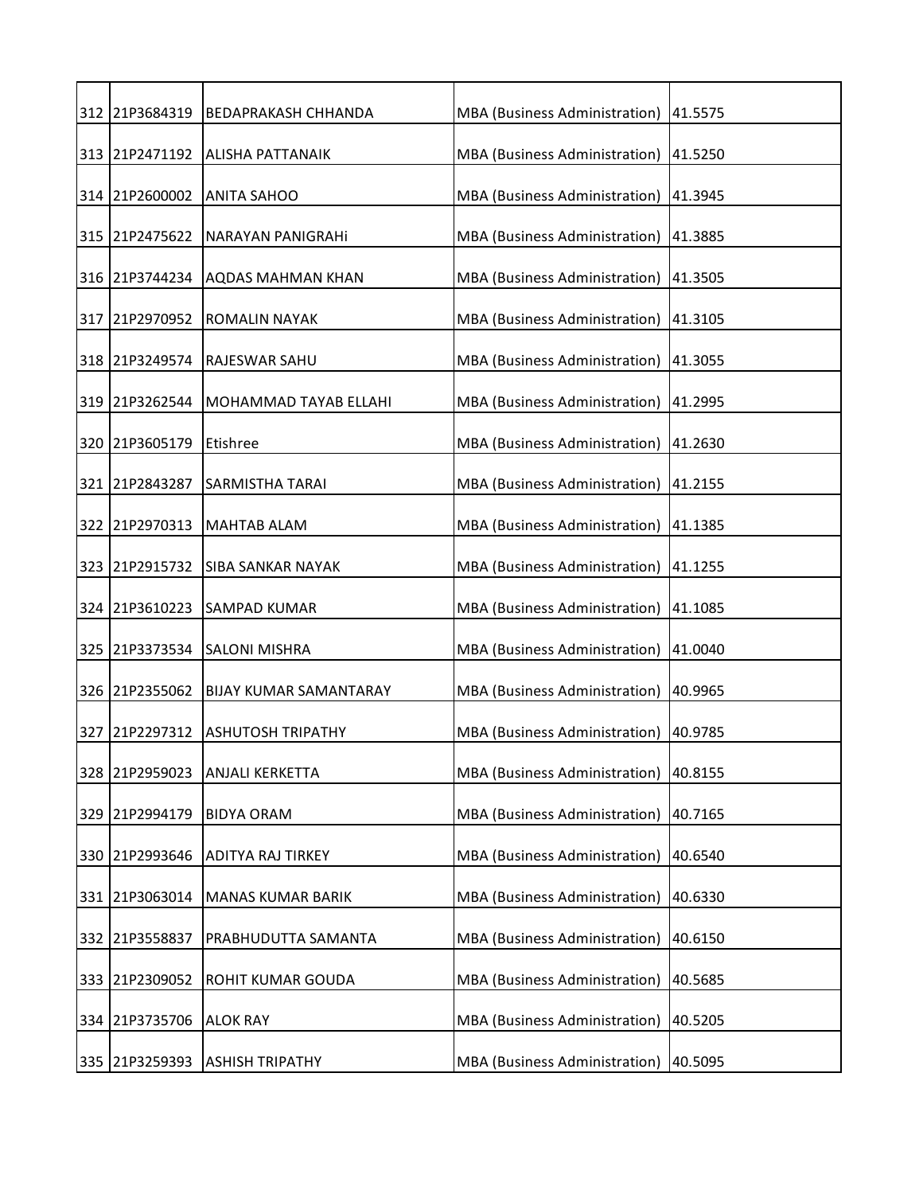|     | 312 21P3684319 | <b>BEDAPRAKASH CHHANDA</b>     | MBA (Business Administration)   41.5575 |         |
|-----|----------------|--------------------------------|-----------------------------------------|---------|
|     | 313 21P2471192 | <b>ALISHA PATTANAIK</b>        | MBA (Business Administration) 41.5250   |         |
|     | 314 21P2600002 | <b>ANITA SAHOO</b>             | MBA (Business Administration)           | 41.3945 |
|     | 315 21P2475622 | NARAYAN PANIGRAHI              | MBA (Business Administration)           | 41.3885 |
|     | 316 21P3744234 | <b>AQDAS MAHMAN KHAN</b>       | MBA (Business Administration)           | 41.3505 |
|     | 317 21P2970952 | <b>ROMALIN NAYAK</b>           | MBA (Business Administration)           | 41.3105 |
|     | 318 21P3249574 | RAJESWAR SAHU                  | MBA (Business Administration)           | 41.3055 |
|     | 319 21P3262544 | MOHAMMAD TAYAB ELLAHI          | MBA (Business Administration) 41.2995   |         |
|     | 320 21P3605179 | Etishree                       | MBA (Business Administration)           | 41.2630 |
|     | 321 21P2843287 | <b>SARMISTHA TARAI</b>         | MBA (Business Administration) 41.2155   |         |
|     | 322 21P2970313 | <b>MAHTAB ALAM</b>             | MBA (Business Administration)           | 41.1385 |
|     | 323 21P2915732 | <b>SIBA SANKAR NAYAK</b>       | MBA (Business Administration)           | 41.1255 |
|     | 324 21P3610223 | SAMPAD KUMAR                   | MBA (Business Administration)           | 41.1085 |
|     | 325 21P3373534 | <b>SALONI MISHRA</b>           | MBA (Business Administration)           | 41.0040 |
|     | 326 21P2355062 | BIJAY KUMAR SAMANTARAY         | MBA (Business Administration)           | 40.9965 |
|     | 327 21P2297312 | <b>ASHUTOSH TRIPATHY</b>       | MBA (Business Administration)           | 40.9785 |
|     | 328 21P2959023 | <b>ANJALI KERKETTA</b>         | MBA (Business Administration)           | 40.8155 |
|     | 329 21P2994179 | <b>BIDYA ORAM</b>              | MBA (Business Administration)           | 40.7165 |
| 330 | 21P2993646     | ADITYA RAJ TIRKEY              | MBA (Business Administration)           | 40.6540 |
|     | 331 21P3063014 | MANAS KUMAR BARIK              | MBA (Business Administration)           | 40.6330 |
|     | 332 21P3558837 | PRABHUDUTTA SAMANTA            | MBA (Business Administration)           | 40.6150 |
|     | 333 21P2309052 | ROHIT KUMAR GOUDA              | MBA (Business Administration)           | 40.5685 |
| 334 | 21P3735706     | <b>ALOK RAY</b>                | MBA (Business Administration)           | 40.5205 |
|     |                |                                |                                         |         |
|     |                | 335 21P3259393 ASHISH TRIPATHY | MBA (Business Administration) 40.5095   |         |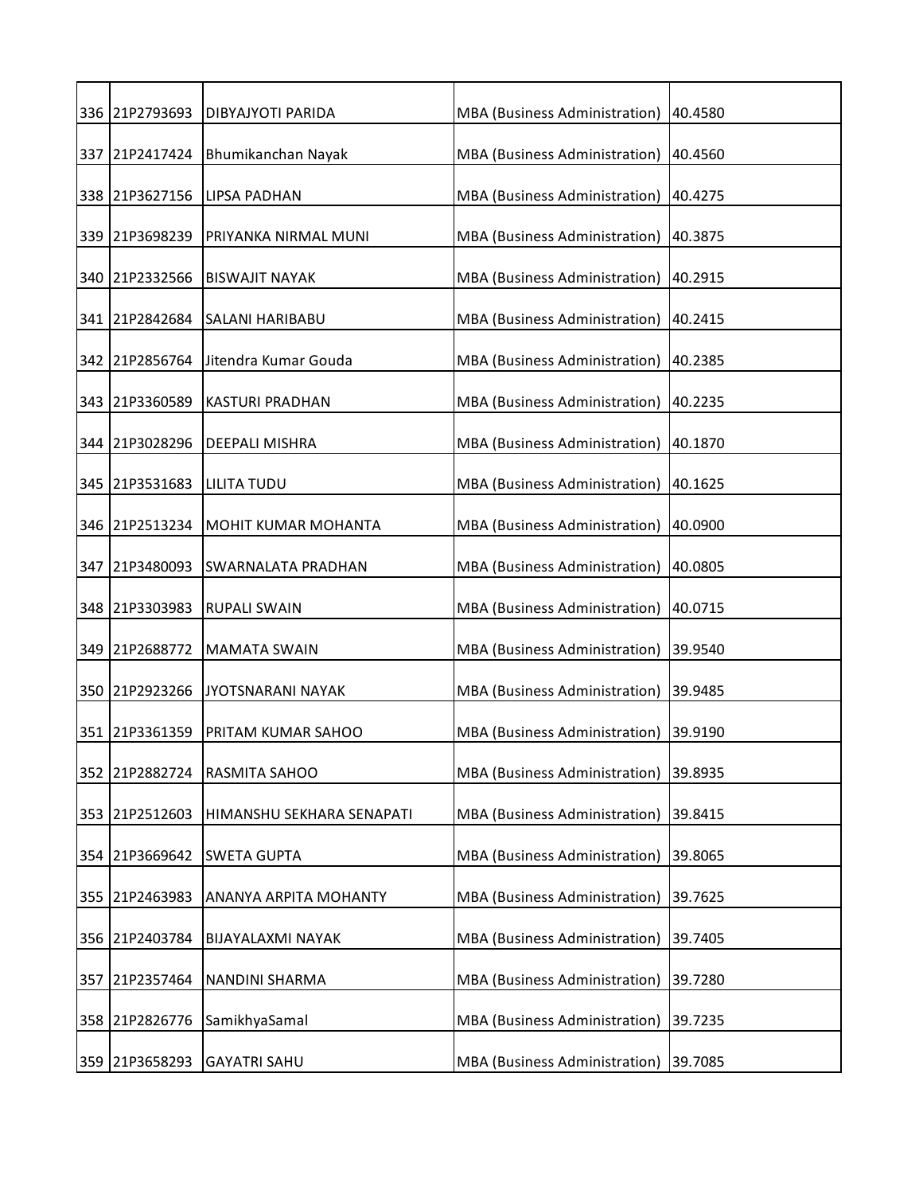|     | 336 21P2793693 | DIBYAJYOTI PARIDA          | MBA (Business Administration)        | 40.4580 |
|-----|----------------|----------------------------|--------------------------------------|---------|
|     | 337 21P2417424 | Bhumikanchan Nayak         | MBA (Business Administration)        | 40.4560 |
|     | 338 21P3627156 | <b>LIPSA PADHAN</b>        | MBA (Business Administration)        | 40.4275 |
|     | 339 21P3698239 | PRIYANKA NIRMAL MUNI       | MBA (Business Administration)        | 40.3875 |
|     | 340 21P2332566 | <b>BISWAJIT NAYAK</b>      | MBA (Business Administration)        | 40.2915 |
|     | 341 21P2842684 | <b>SALANI HARIBABU</b>     | MBA (Business Administration)        | 40.2415 |
|     | 342 21P2856764 | Jitendra Kumar Gouda       | MBA (Business Administration)        | 40.2385 |
|     | 343 21P3360589 | <b>KASTURI PRADHAN</b>     | MBA (Business Administration)        | 40.2235 |
|     | 344 21P3028296 | DEEPALI MISHRA             | MBA (Business Administration)        | 40.1870 |
|     | 345 21P3531683 | <b>LILITA TUDU</b>         | MBA (Business Administration)        | 40.1625 |
|     | 346 21P2513234 | <b>MOHIT KUMAR MOHANTA</b> | MBA (Business Administration)        | 40.0900 |
|     | 347 21P3480093 | <b>SWARNALATA PRADHAN</b>  | MBA (Business Administration)        | 40.0805 |
|     | 348 21P3303983 | <b>RUPALI SWAIN</b>        | MBA (Business Administration)        | 40.0715 |
|     | 349 21P2688772 | <b>MAMATA SWAIN</b>        | MBA (Business Administration)        | 39.9540 |
|     | 350 21P2923266 | <b>JYOTSNARANI NAYAK</b>   | MBA (Business Administration)        | 39.9485 |
|     | 351 21P3361359 | PRITAM KUMAR SAHOO         | MBA (Business Administration)        | 39.9190 |
| 352 | 21P2882724     | RASMITA SAHOO              | MBA (Business Administration)        | 39.8935 |
| 353 | 21P2512603     | HIMANSHU SEKHARA SENAPATI  | <b>MBA</b> (Business Administration) | 39.8415 |
| 354 | 21P3669642     | <b>SWETA GUPTA</b>         | MBA (Business Administration)        | 39.8065 |
| 355 | 21P2463983     | ANANYA ARPITA MOHANTY      | MBA (Business Administration)        | 39.7625 |
|     | 356 21P2403784 | <b>BIJAYALAXMI NAYAK</b>   | MBA (Business Administration)        | 39.7405 |
| 357 | 21P2357464     | NANDINI SHARMA             | MBA (Business Administration)        | 39.7280 |
|     |                |                            |                                      |         |
| 358 | 21P2826776     | SamikhyaSamal              | MBA (Business Administration)        | 39.7235 |
|     | 359 21P3658293 | <b>GAYATRI SAHU</b>        | MBA (Business Administration)        | 39.7085 |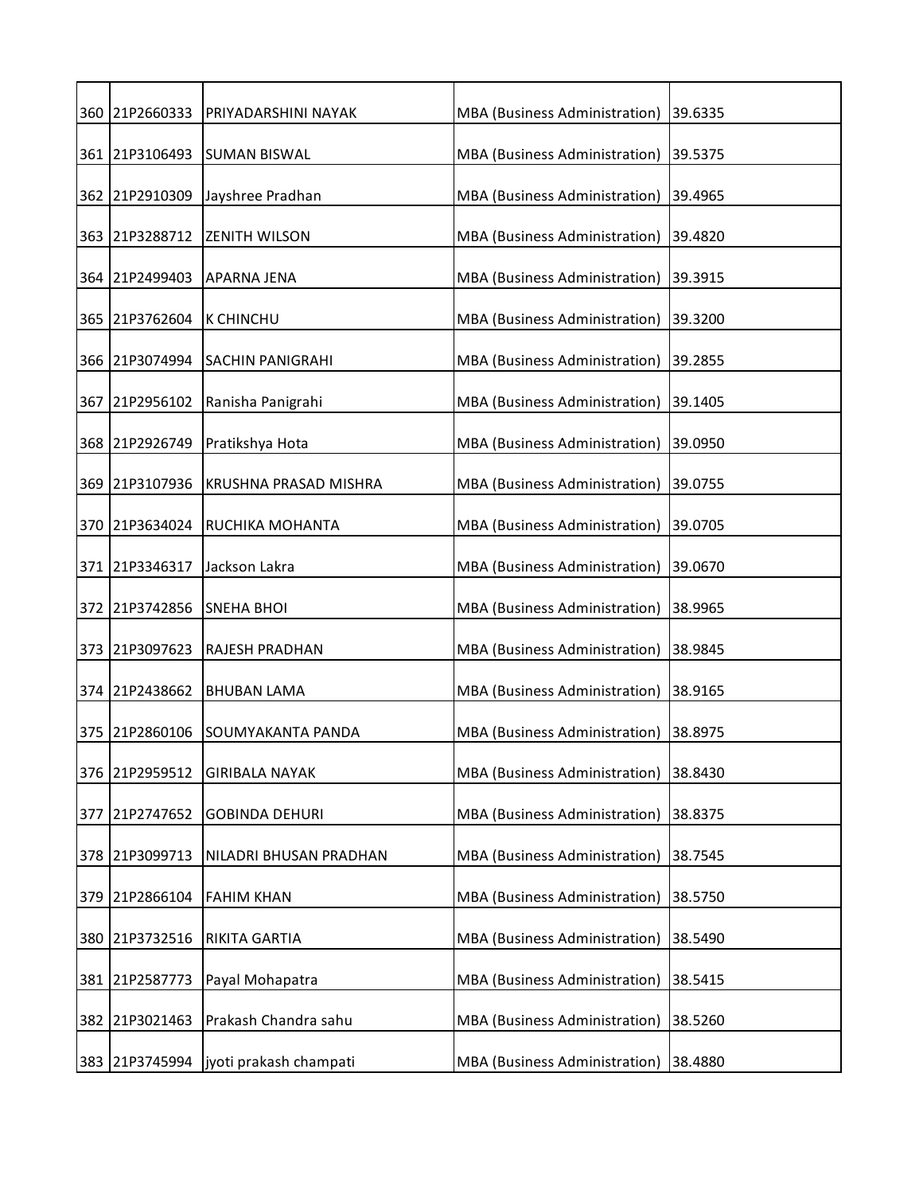|     | 360 21P2660333 | PRIYADARSHINI NAYAK                     | MBA (Business Administration) | 39.6335 |
|-----|----------------|-----------------------------------------|-------------------------------|---------|
|     | 361 21P3106493 | <b>SUMAN BISWAL</b>                     | MBA (Business Administration) | 39.5375 |
|     | 362 21P2910309 | Jayshree Pradhan                        | MBA (Business Administration) | 39.4965 |
|     | 363 21P3288712 | <b>ZENITH WILSON</b>                    | MBA (Business Administration) | 39.4820 |
|     | 364 21P2499403 | <b>APARNA JENA</b>                      | MBA (Business Administration) | 39.3915 |
|     | 365 21P3762604 | <b>K CHINCHU</b>                        | MBA (Business Administration) | 39.3200 |
|     | 366 21P3074994 | <b>SACHIN PANIGRAHI</b>                 | MBA (Business Administration) | 39.2855 |
|     | 367 21P2956102 | Ranisha Panigrahi                       | MBA (Business Administration) | 39.1405 |
|     | 368 21P2926749 | Pratikshya Hota                         | MBA (Business Administration) | 39.0950 |
|     | 369 21P3107936 | <b>KRUSHNA PRASAD MISHRA</b>            | MBA (Business Administration) | 39.0755 |
|     | 370 21P3634024 | <b>RUCHIKA MOHANTA</b>                  | MBA (Business Administration) | 39.0705 |
|     | 371 21P3346317 | Jackson Lakra                           | MBA (Business Administration) | 39.0670 |
|     | 372 21P3742856 | <b>SNEHA BHOI</b>                       | MBA (Business Administration) | 38.9965 |
|     | 373 21P3097623 | RAJESH PRADHAN                          | MBA (Business Administration) | 38.9845 |
|     | 374 21P2438662 | <b>BHUBAN LAMA</b>                      | MBA (Business Administration) | 38.9165 |
|     | 375 21P2860106 | SOUMYAKANTA PANDA                       | MBA (Business Administration) | 38.8975 |
| 376 | 21P2959512     | <b>GIRIBALA NAYAK</b>                   | MBA (Business Administration) | 38.8430 |
| 377 | 21P2747652     | <b>GOBINDA DEHURI</b>                   | MBA (Business Administration) | 38.8375 |
| 378 | 21P3099713     | NILADRI BHUSAN PRADHAN                  | MBA (Business Administration) | 38.7545 |
| 379 | 21P2866104     | <b>FAHIM KHAN</b>                       | MBA (Business Administration) | 38.5750 |
|     | 380 21P3732516 | RIKITA GARTIA                           | MBA (Business Administration) | 38.5490 |
|     | 381 21P2587773 | Payal Mohapatra                         | MBA (Business Administration) | 38.5415 |
| 382 | 21P3021463     | Prakash Chandra sahu                    | MBA (Business Administration) | 38.5260 |
|     |                | 383 21P3745994   jyoti prakash champati | MBA (Business Administration) | 38.4880 |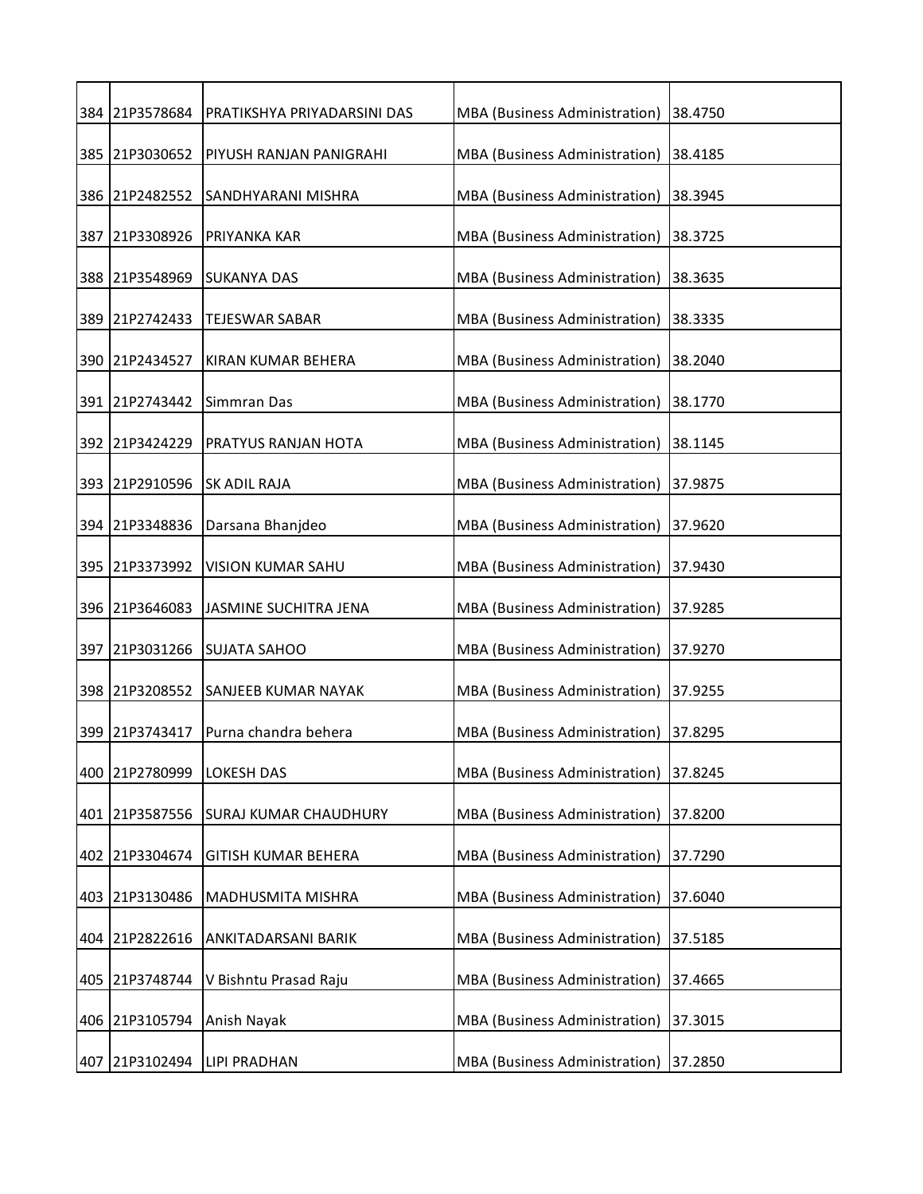|     | 384 21P3578684 | PRATIKSHYA PRIYADARSINI DAS  | MBA (Business Administration) | 38.4750 |
|-----|----------------|------------------------------|-------------------------------|---------|
|     | 385 21P3030652 | PIYUSH RANJAN PANIGRAHI      | MBA (Business Administration) | 38.4185 |
|     | 386 21P2482552 | SANDHYARANI MISHRA           | MBA (Business Administration) | 38.3945 |
|     | 387 21P3308926 | PRIYANKA KAR                 | MBA (Business Administration) | 38.3725 |
|     | 388 21P3548969 | <b>SUKANYA DAS</b>           | MBA (Business Administration) | 38.3635 |
|     | 389 21P2742433 | TEJESWAR SABAR               | MBA (Business Administration) | 38.3335 |
|     | 390 21P2434527 | KIRAN KUMAR BEHERA           | MBA (Business Administration) | 38.2040 |
|     | 391 21P2743442 | Simmran Das                  | MBA (Business Administration) | 38.1770 |
|     | 392 21P3424229 | <b>PRATYUS RANJAN HOTA</b>   | MBA (Business Administration) | 38.1145 |
|     | 393 21P2910596 | <b>SK ADIL RAJA</b>          | MBA (Business Administration) | 37.9875 |
|     | 394 21P3348836 | Darsana Bhanjdeo             | MBA (Business Administration) | 37.9620 |
|     | 395 21P3373992 | VISION KUMAR SAHU            | MBA (Business Administration) | 37.9430 |
|     | 396 21P3646083 | JASMINE SUCHITRA JENA        | MBA (Business Administration) | 37.9285 |
| 397 | 21P3031266     | <b>SUJATA SAHOO</b>          | MBA (Business Administration) | 37.9270 |
|     | 398 21P3208552 | <b>SANJEEB KUMAR NAYAK</b>   | MBA (Business Administration) | 37.9255 |
|     | 399 21P3743417 | Purna chandra behera         | MBA (Business Administration) | 37.8295 |
|     | 400 21P2780999 | <b>LOKESH DAS</b>            | MBA (Business Administration) | 37.8245 |
| 401 | 21P3587556     | <b>SURAJ KUMAR CHAUDHURY</b> | MBA (Business Administration) | 37.8200 |
| 402 | 21P3304674     | <b>GITISH KUMAR BEHERA</b>   | MBA (Business Administration) | 37.7290 |
| 403 | 21P3130486     | MADHUSMITA MISHRA            | MBA (Business Administration) | 37.6040 |
|     | 404 21P2822616 | ANKITADARSANI BARIK          | MBA (Business Administration) | 37.5185 |
| 405 | 21P3748744     | V Bishntu Prasad Raju        | MBA (Business Administration) | 37.4665 |
|     | 406 21P3105794 | Anish Nayak                  | MBA (Business Administration) | 37.3015 |
|     | 407 21P3102494 | <b>LIPI PRADHAN</b>          | MBA (Business Administration) | 37.2850 |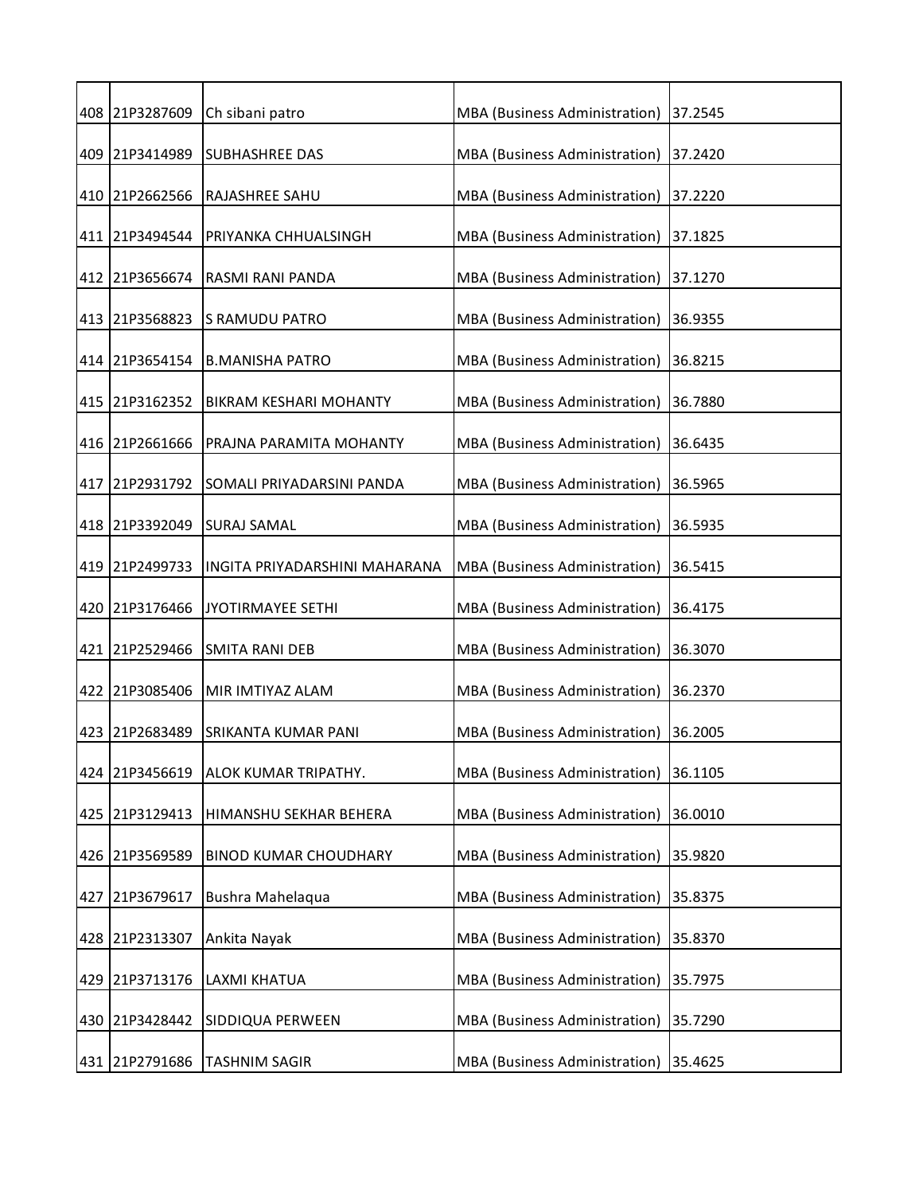|     | 408 21P3287609 | Ch sibani patro               | MBA (Business Administration)        | 37.2545 |
|-----|----------------|-------------------------------|--------------------------------------|---------|
|     | 409 21P3414989 | <b>SUBHASHREE DAS</b>         | MBA (Business Administration)        | 37.2420 |
|     | 410 21P2662566 | RAJASHREE SAHU                | MBA (Business Administration)        | 37.2220 |
|     | 411 21P3494544 | PRIYANKA CHHUALSINGH          | MBA (Business Administration)        | 37.1825 |
|     | 412 21P3656674 | <b>RASMI RANI PANDA</b>       | MBA (Business Administration)        | 37.1270 |
|     | 413 21P3568823 | S RAMUDU PATRO                | MBA (Business Administration)        | 36.9355 |
|     | 414 21P3654154 | <b>B.MANISHA PATRO</b>        | MBA (Business Administration)        | 36.8215 |
|     | 415 21P3162352 | <b>BIKRAM KESHARI MOHANTY</b> | MBA (Business Administration)        | 36.7880 |
|     | 416 21P2661666 | PRAJNA PARAMITA MOHANTY       | MBA (Business Administration)        | 36.6435 |
|     | 417 21P2931792 | SOMALI PRIYADARSINI PANDA     | MBA (Business Administration)        | 36.5965 |
|     | 418 21P3392049 | <b>SURAJ SAMAL</b>            | MBA (Business Administration)        | 36.5935 |
|     | 419 21P2499733 | INGITA PRIYADARSHINI MAHARANA | MBA (Business Administration)        | 36.5415 |
|     | 420 21P3176466 | JYOTIRMAYEE SETHI             | MBA (Business Administration)        | 36.4175 |
|     | 421 21P2529466 | <b>SMITA RANI DEB</b>         | MBA (Business Administration)        | 36.3070 |
|     | 422 21P3085406 | MIR IMTIYAZ ALAM              | MBA (Business Administration)        | 36.2370 |
|     | 423 21P2683489 | SRIKANTA KUMAR PANI           | MBA (Business Administration)        | 36.2005 |
|     | 424 21P3456619 | ALOK KUMAR TRIPATHY.          | MBA (Business Administration)        | 36.1105 |
|     | 425 21P3129413 | HIMANSHU SEKHAR BEHERA        | <b>MBA</b> (Business Administration) | 36.0010 |
| 426 | 21P3569589     | <b>BINOD KUMAR CHOUDHARY</b>  | <b>MBA</b> (Business Administration) | 35.9820 |
| 427 | 21P3679617     | Bushra Mahelaqua              | MBA (Business Administration)        | 35.8375 |
|     | 428 21P2313307 | Ankita Nayak                  | MBA (Business Administration)        | 35.8370 |
|     | 429 21P3713176 | LAXMI KHATUA                  | MBA (Business Administration)        | 35.7975 |
|     | 430 21P3428442 | SIDDIQUA PERWEEN              | MBA (Business Administration)        | 35.7290 |
|     | 431 21P2791686 | <b>TASHNIM SAGIR</b>          | MBA (Business Administration)        | 35.4625 |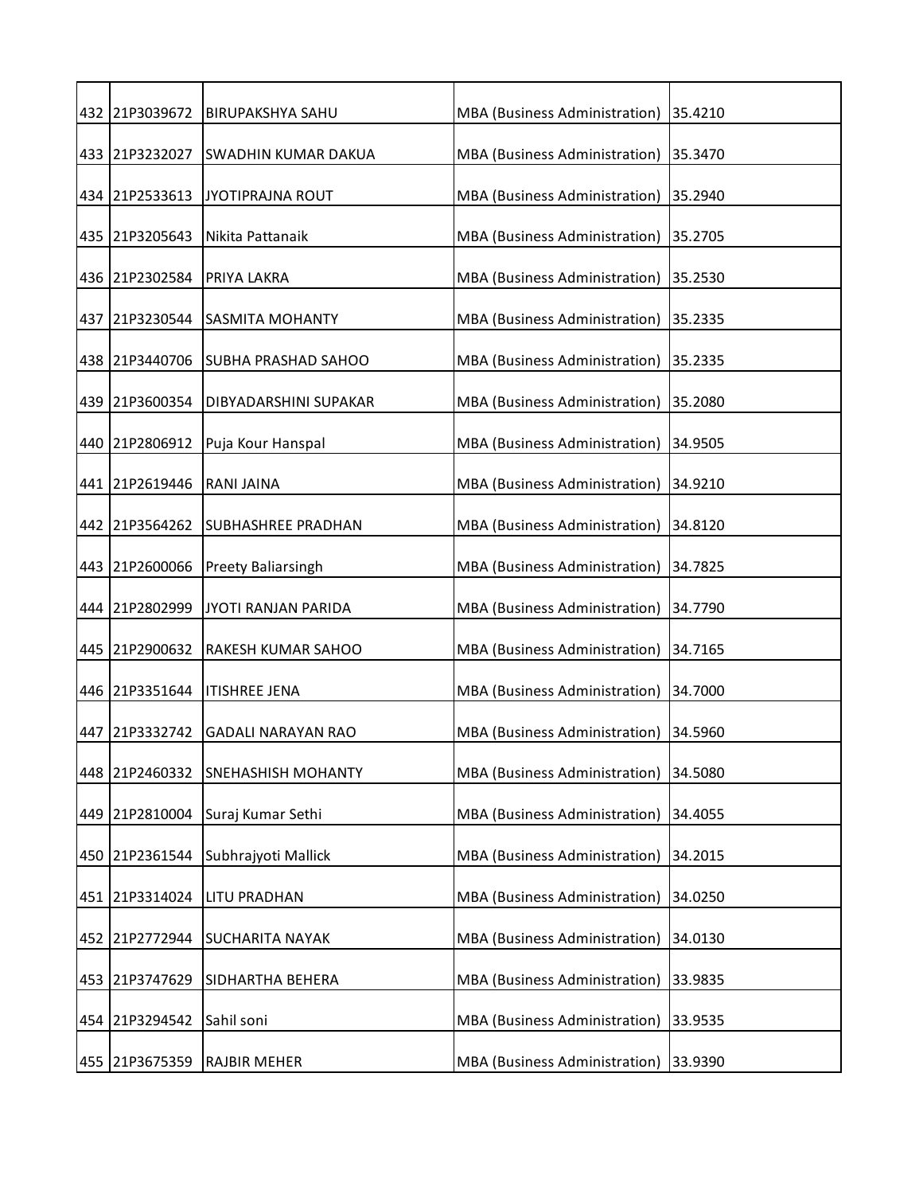|     | 432 21P3039672 | <b>BIRUPAKSHYA SAHU</b>      | MBA (Business Administration) | 35.4210 |
|-----|----------------|------------------------------|-------------------------------|---------|
|     | 433 21P3232027 | SWADHIN KUMAR DAKUA          | MBA (Business Administration) | 35.3470 |
|     | 434 21P2533613 | <b>JYOTIPRAJNA ROUT</b>      | MBA (Business Administration) | 35.2940 |
|     | 435 21P3205643 | Nikita Pattanaik             | MBA (Business Administration) | 35.2705 |
|     | 436 21P2302584 | PRIYA LAKRA                  | MBA (Business Administration) | 35.2530 |
|     | 437 21P3230544 | <b>SASMITA MOHANTY</b>       | MBA (Business Administration) | 35.2335 |
|     | 438 21P3440706 | <b>SUBHA PRASHAD SAHOO</b>   | MBA (Business Administration) | 35.2335 |
|     | 439 21P3600354 | <b>DIBYADARSHINI SUPAKAR</b> | MBA (Business Administration) | 35.2080 |
|     | 440 21P2806912 | Puja Kour Hanspal            | MBA (Business Administration) | 34.9505 |
|     | 441 21P2619446 | <b>RANI JAINA</b>            | MBA (Business Administration) | 34.9210 |
|     | 442 21P3564262 | SUBHASHREE PRADHAN           | MBA (Business Administration) | 34.8120 |
|     | 443 21P2600066 | <b>Preety Baliarsingh</b>    | MBA (Business Administration) | 34.7825 |
|     | 444 21P2802999 | JYOTI RANJAN PARIDA          | MBA (Business Administration) | 34.7790 |
|     | 445 21P2900632 | RAKESH KUMAR SAHOO           | MBA (Business Administration) | 34.7165 |
|     | 446 21P3351644 | <b>ITISHREE JENA</b>         | MBA (Business Administration) | 34.7000 |
| 447 | 21P3332742     | <b>GADALI NARAYAN RAO</b>    | MBA (Business Administration) | 34.5960 |
|     | 448 21P2460332 | <b>SNEHASHISH MOHANTY</b>    | MBA (Business Administration) | 34.5080 |
|     | 449 21P2810004 | Suraj Kumar Sethi            | MBA (Business Administration) | 34.4055 |
| 450 | 21P2361544     | Subhrajyoti Mallick          | MBA (Business Administration) | 34.2015 |
|     | 451 21P3314024 | <b>LITU PRADHAN</b>          | MBA (Business Administration) | 34.0250 |
| 452 | 21P2772944     | <b>SUCHARITA NAYAK</b>       | MBA (Business Administration) | 34.0130 |
|     | 453 21P3747629 | SIDHARTHA BEHERA             | MBA (Business Administration) | 33.9835 |
| 454 | 21P3294542     | Sahil soni                   | MBA (Business Administration) | 33.9535 |
|     | 455 21P3675359 | <b>RAJBIR MEHER</b>          | MBA (Business Administration) | 33.9390 |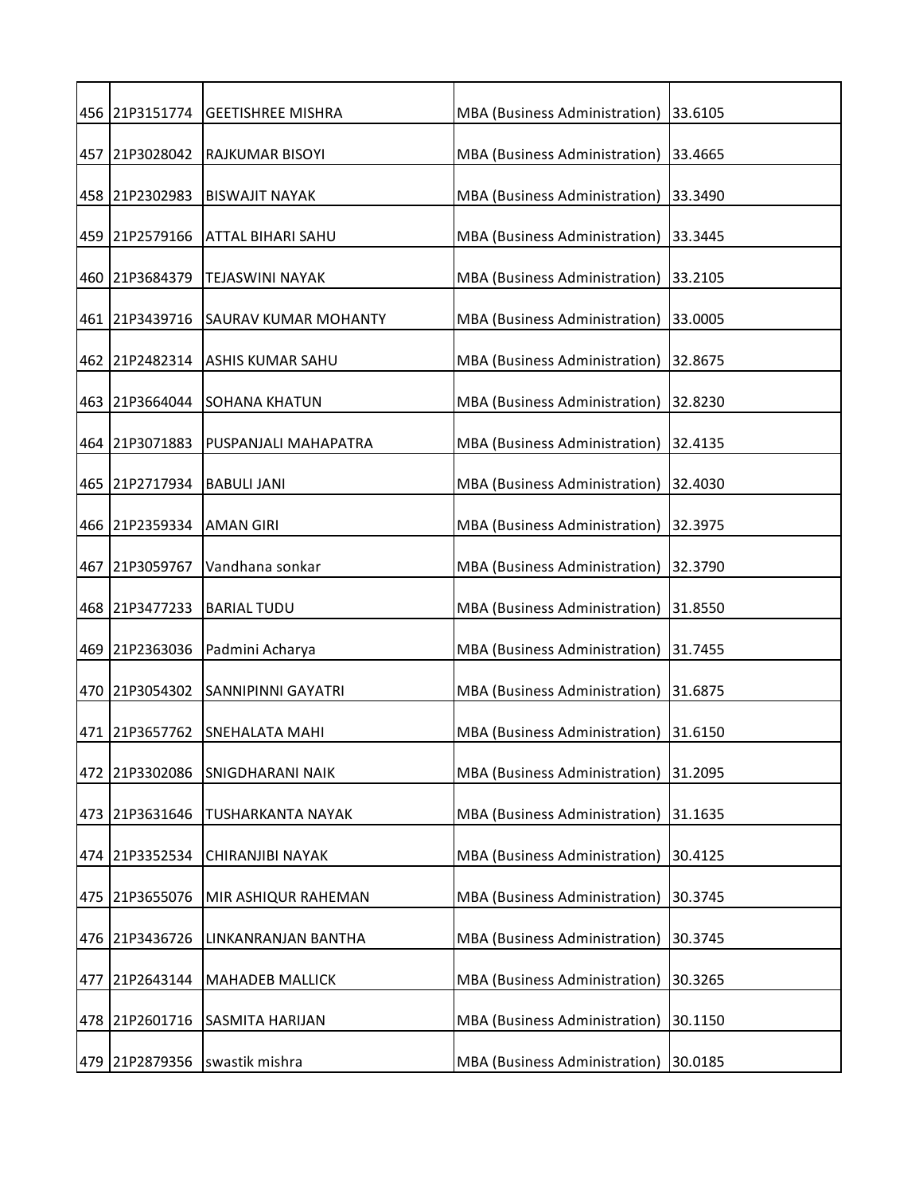|     |                | 456 21P3151774 GEETISHREE MISHRA | MBA (Business Administration) | 33.6105 |
|-----|----------------|----------------------------------|-------------------------------|---------|
|     | 457 21P3028042 | RAJKUMAR BISOYI                  | MBA (Business Administration) | 33.4665 |
|     | 458 21P2302983 | <b>BISWAJIT NAYAK</b>            | MBA (Business Administration) | 33.3490 |
|     | 459 21P2579166 | <b>ATTAL BIHARI SAHU</b>         | MBA (Business Administration) | 33.3445 |
|     | 460 21P3684379 | <b>TEJASWINI NAYAK</b>           | MBA (Business Administration) | 33.2105 |
|     | 461 21P3439716 | <b>SAURAV KUMAR MOHANTY</b>      | MBA (Business Administration) | 33.0005 |
|     | 462 21P2482314 | <b>ASHIS KUMAR SAHU</b>          | MBA (Business Administration) | 32.8675 |
|     | 463 21P3664044 | <b>ISOHANA KHATUN</b>            | MBA (Business Administration) | 32.8230 |
|     | 464 21P3071883 | PUSPANJALI MAHAPATRA             | MBA (Business Administration) | 32.4135 |
|     | 465 21P2717934 | <b>BABULI JANI</b>               | MBA (Business Administration) | 32.4030 |
|     | 466 21P2359334 | <b>AMAN GIRI</b>                 | MBA (Business Administration) | 32.3975 |
|     | 467 21P3059767 | Vandhana sonkar                  | MBA (Business Administration) | 32.3790 |
|     | 468 21P3477233 | <b>BARIAL TUDU</b>               | MBA (Business Administration) | 31.8550 |
|     | 469 21P2363036 | Padmini Acharya                  | MBA (Business Administration) | 31.7455 |
|     | 470 21P3054302 | <b>SANNIPINNI GAYATRI</b>        | MBA (Business Administration) | 31.6875 |
| 471 | 21P3657762     | <b>SNEHALATA MAHI</b>            | MBA (Business Administration) | 31.6150 |
|     | 472 21P3302086 | SNIGDHARANI NAIK                 | MBA (Business Administration) | 31.2095 |
| 473 | 21P3631646     | TUSHARKANTA NAYAK                | MBA (Business Administration) | 31.1635 |
| 474 | 21P3352534     | CHIRANJIBI NAYAK                 | MBA (Business Administration) | 30.4125 |
| 475 | 21P3655076     | MIR ASHIQUR RAHEMAN              | MBA (Business Administration) | 30.3745 |
|     | 476 21P3436726 | LINKANRANJAN BANTHA              | MBA (Business Administration) | 30.3745 |
| 477 | 21P2643144     | <b>MAHADEB MALLICK</b>           | MBA (Business Administration) | 30.3265 |
|     | 478 21P2601716 | SASMITA HARIJAN                  | MBA (Business Administration) | 30.1150 |
|     | 479 21P2879356 | swastik mishra                   | MBA (Business Administration) | 30.0185 |